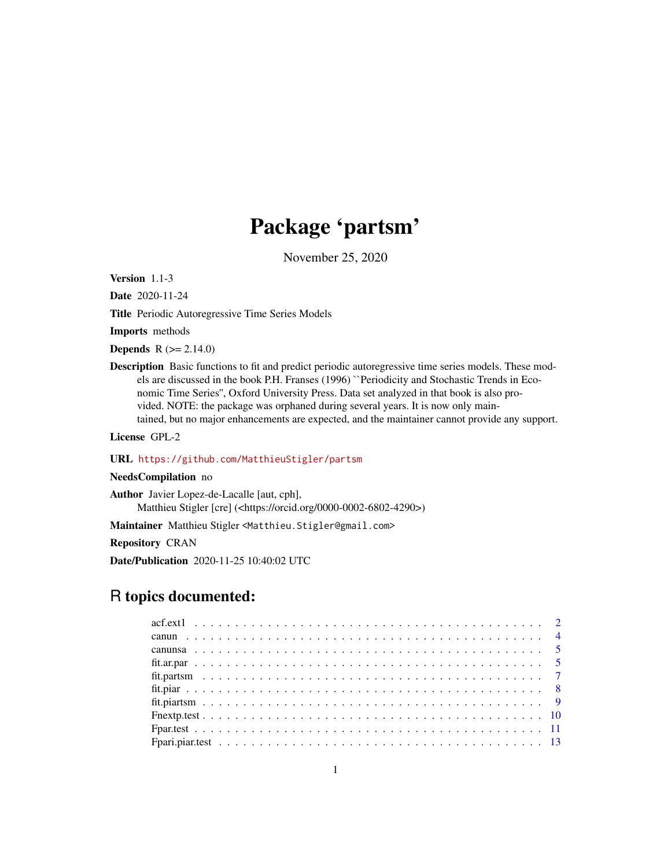# Package 'partsm'

November 25, 2020

<span id="page-0-0"></span>Version 1.1-3

Date 2020-11-24

Title Periodic Autoregressive Time Series Models

Imports methods

**Depends** R  $(>= 2.14.0)$ 

Description Basic functions to fit and predict periodic autoregressive time series models. These models are discussed in the book P.H. Franses (1996) ``Periodicity and Stochastic Trends in Economic Time Series'', Oxford University Press. Data set analyzed in that book is also provided. NOTE: the package was orphaned during several years. It is now only maintained, but no major enhancements are expected, and the maintainer cannot provide any support.

License GPL-2

## URL <https://github.com/MatthieuStigler/partsm>

## NeedsCompilation no

Author Javier Lopez-de-Lacalle [aut, cph], Matthieu Stigler [cre] (<https://orcid.org/0000-0002-6802-4290>)

Maintainer Matthieu Stigler <Matthieu.Stigler@gmail.com>

Repository CRAN

Date/Publication 2020-11-25 10:40:02 UTC

# R topics documented: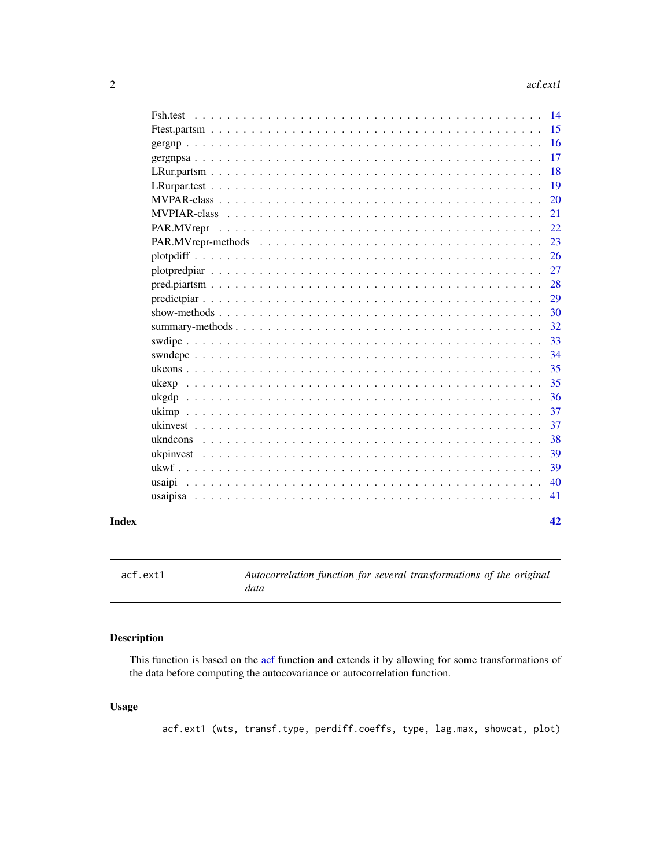<span id="page-1-0"></span>

| <b>Fsh.test</b> | 14 |
|-----------------|----|
|                 | 15 |
|                 | 16 |
|                 | 17 |
|                 | 18 |
|                 | 19 |
|                 | 20 |
|                 | 21 |
| PAR.MVrepr      | 22 |
|                 | 23 |
|                 | 26 |
|                 | 27 |
|                 | 28 |
|                 | 29 |
|                 | 30 |
|                 | 32 |
|                 | 33 |
|                 | 34 |
|                 | 35 |
|                 | 35 |
|                 | 36 |
|                 | 37 |
|                 | 37 |
| ukndcons        | 38 |
|                 | 39 |
|                 | 39 |
| usaipi          | 40 |
| usaipisa        | 41 |
|                 |    |

#### **Index** [42](#page-41-0)

acf.ext1 *Autocorrelation function for several transformations of the original data*

## Description

This function is based on the [acf](#page-0-0) function and extends it by allowing for some transformations of the data before computing the autocovariance or autocorrelation function.

## Usage

acf.ext1 (wts, transf.type, perdiff.coeffs, type, lag.max, showcat, plot)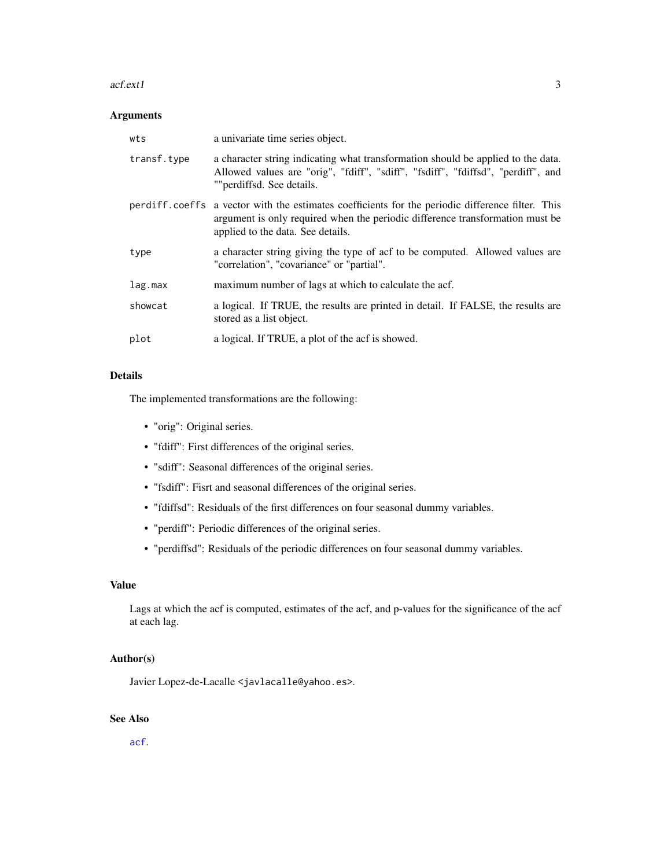#### <span id="page-2-0"></span>acf.ext1 3

## Arguments

| wts         | a univariate time series object.                                                                                                                                                                                       |
|-------------|------------------------------------------------------------------------------------------------------------------------------------------------------------------------------------------------------------------------|
| transf.type | a character string indicating what transformation should be applied to the data.<br>Allowed values are "orig", "fdiff", "sdiff", "fsdiff", "fdiffsd", "perdiff", and<br>""perdiffsd. See details.                      |
|             | perdiff.coeffs a vector with the estimates coefficients for the periodic difference filter. This<br>argument is only required when the periodic difference transformation must be<br>applied to the data. See details. |
| type        | a character string giving the type of acf to be computed. Allowed values are<br>"correlation", "covariance" or "partial".                                                                                              |
| lag.max     | maximum number of lags at which to calculate the acf.                                                                                                                                                                  |
| showcat     | a logical. If TRUE, the results are printed in detail. If FALSE, the results are<br>stored as a list object.                                                                                                           |
| plot        | a logical. If TRUE, a plot of the acf is showed.                                                                                                                                                                       |

## Details

The implemented transformations are the following:

- "orig": Original series.
- "fdiff": First differences of the original series.
- "sdiff": Seasonal differences of the original series.
- "fsdiff": Fisrt and seasonal differences of the original series.
- "fdiffsd": Residuals of the first differences on four seasonal dummy variables.
- "perdiff": Periodic differences of the original series.
- "perdiffsd": Residuals of the periodic differences on four seasonal dummy variables.

## Value

Lags at which the acf is computed, estimates of the acf, and p-values for the significance of the acf at each lag.

## Author(s)

Javier Lopez-de-Lacalle <javlacalle@yahoo.es>.

# See Also

[acf](#page-0-0).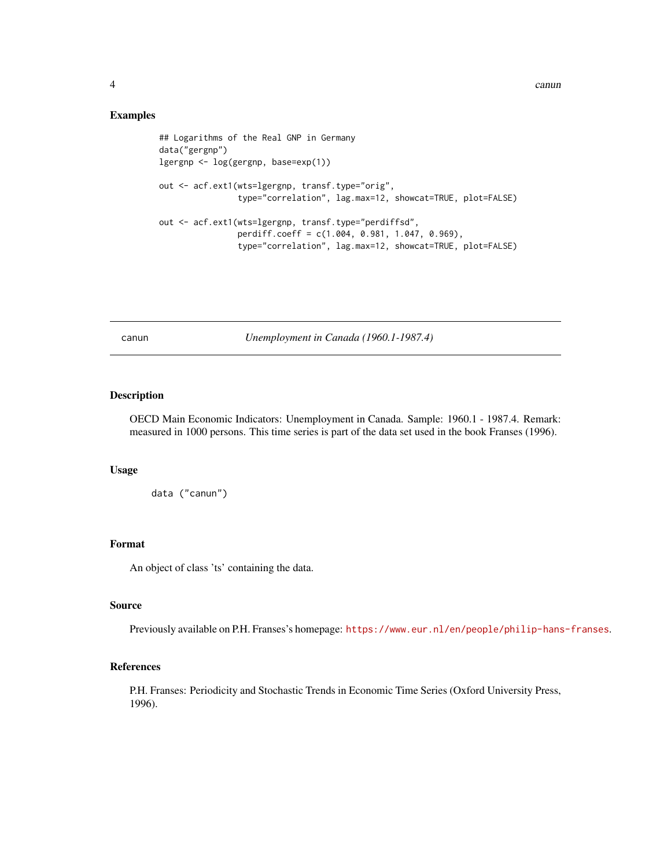#### Examples

```
## Logarithms of the Real GNP in Germany
data("gergnp")
lgergnp <- log(gergnp, base=exp(1))
out <- acf.ext1(wts=lgergnp, transf.type="orig",
                type="correlation", lag.max=12, showcat=TRUE, plot=FALSE)
out <- acf.ext1(wts=lgergnp, transf.type="perdiffsd",
                perdiff.coeff = c(1.004, 0.981, 1.047, 0.969),
                type="correlation", lag.max=12, showcat=TRUE, plot=FALSE)
```
canun *Unemployment in Canada (1960.1-1987.4)*

## Description

OECD Main Economic Indicators: Unemployment in Canada. Sample: 1960.1 - 1987.4. Remark: measured in 1000 persons. This time series is part of the data set used in the book Franses (1996).

## Usage

data ("canun")

#### Format

An object of class 'ts' containing the data.

## Source

Previously available on P.H. Franses's homepage: <https://www.eur.nl/en/people/philip-hans-franses>.

#### References

P.H. Franses: Periodicity and Stochastic Trends in Economic Time Series (Oxford University Press, 1996).

<span id="page-3-0"></span>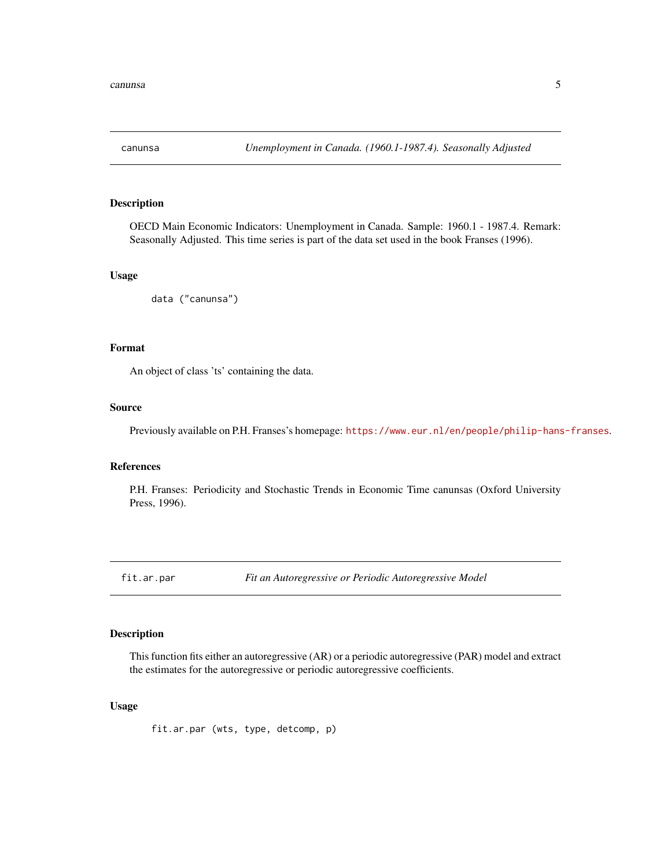<span id="page-4-0"></span>

OECD Main Economic Indicators: Unemployment in Canada. Sample: 1960.1 - 1987.4. Remark: Seasonally Adjusted. This time series is part of the data set used in the book Franses (1996).

### Usage

data ("canunsa")

## Format

An object of class 'ts' containing the data.

#### Source

Previously available on P.H. Franses's homepage: <https://www.eur.nl/en/people/philip-hans-franses>.

### References

P.H. Franses: Periodicity and Stochastic Trends in Economic Time canunsas (Oxford University Press, 1996).

<span id="page-4-1"></span>fit.ar.par *Fit an Autoregressive or Periodic Autoregressive Model*

## Description

This function fits either an autoregressive (AR) or a periodic autoregressive (PAR) model and extract the estimates for the autoregressive or periodic autoregressive coefficients.

## Usage

fit.ar.par (wts, type, detcomp, p)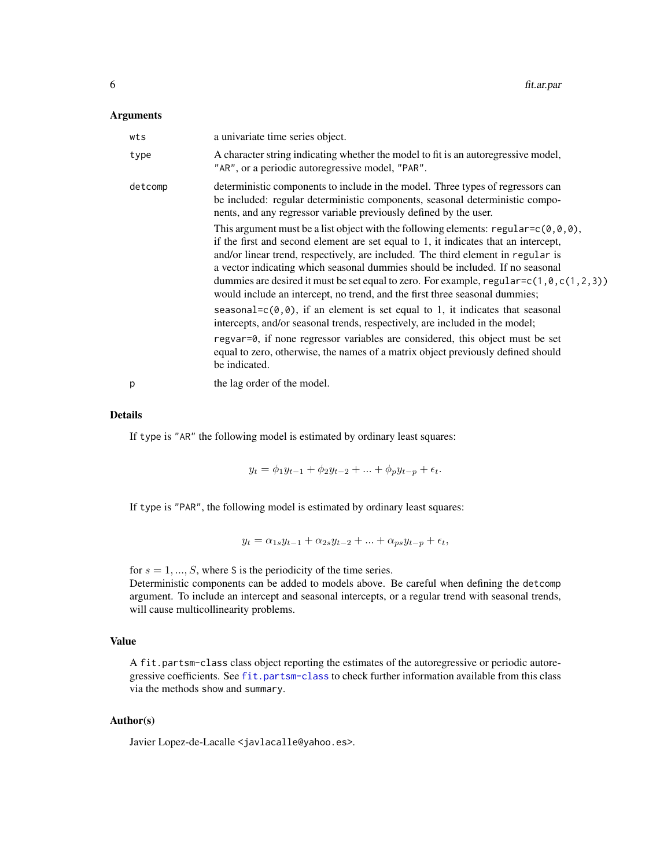#### Arguments

| wts     | a univariate time series object.                                                                                                                                                                                                                                                                                                                                                                                                                                                                                                  |
|---------|-----------------------------------------------------------------------------------------------------------------------------------------------------------------------------------------------------------------------------------------------------------------------------------------------------------------------------------------------------------------------------------------------------------------------------------------------------------------------------------------------------------------------------------|
| type    | A character string indicating whether the model to fit is an autoregressive model,<br>"AR", or a periodic autoregressive model, "PAR".                                                                                                                                                                                                                                                                                                                                                                                            |
| detcomp | deterministic components to include in the model. Three types of regressors can<br>be included: regular deterministic components, seasonal deterministic compo-<br>nents, and any regressor variable previously defined by the user.                                                                                                                                                                                                                                                                                              |
|         | This argument must be a list object with the following elements: $regular=c(0,0,0)$ ,<br>if the first and second element are set equal to 1, it indicates that an intercept,<br>and/or linear trend, respectively, are included. The third element in regular is<br>a vector indicating which seasonal dummies should be included. If no seasonal<br>dummies are desired it must be set equal to zero. For example, regular= $c(1, 0, c(1, 2, 3))$<br>would include an intercept, no trend, and the first three seasonal dummies; |
|         | seasonal= $c(\theta, \theta)$ , if an element is set equal to 1, it indicates that seasonal<br>intercepts, and/or seasonal trends, respectively, are included in the model;                                                                                                                                                                                                                                                                                                                                                       |
|         | regvar=0, if none regressor variables are considered, this object must be set<br>equal to zero, otherwise, the names of a matrix object previously defined should<br>be indicated.                                                                                                                                                                                                                                                                                                                                                |
| р       | the lag order of the model.                                                                                                                                                                                                                                                                                                                                                                                                                                                                                                       |

#### Details

If type is "AR" the following model is estimated by ordinary least squares:

 $y_t = \phi_1 y_{t-1} + \phi_2 y_{t-2} + ... + \phi_p y_{t-p} + \epsilon_t.$ 

If type is "PAR", the following model is estimated by ordinary least squares:

 $y_t = \alpha_{1s}y_{t-1} + \alpha_{2s}y_{t-2} + \ldots + \alpha_{ps}y_{t-p} + \epsilon_t,$ 

for  $s = 1, ..., S$ , where S is the periodicity of the time series.

Deterministic components can be added to models above. Be careful when defining the detcomp argument. To include an intercept and seasonal intercepts, or a regular trend with seasonal trends, will cause multicollinearity problems.

#### Value

A fit.partsm-class class object reporting the estimates of the autoregressive or periodic autoregressive coefficients. See [fit.partsm-class](#page-6-1) to check further information available from this class via the methods show and summary.

## Author(s)

Javier Lopez-de-Lacalle <javlacalle@yahoo.es>.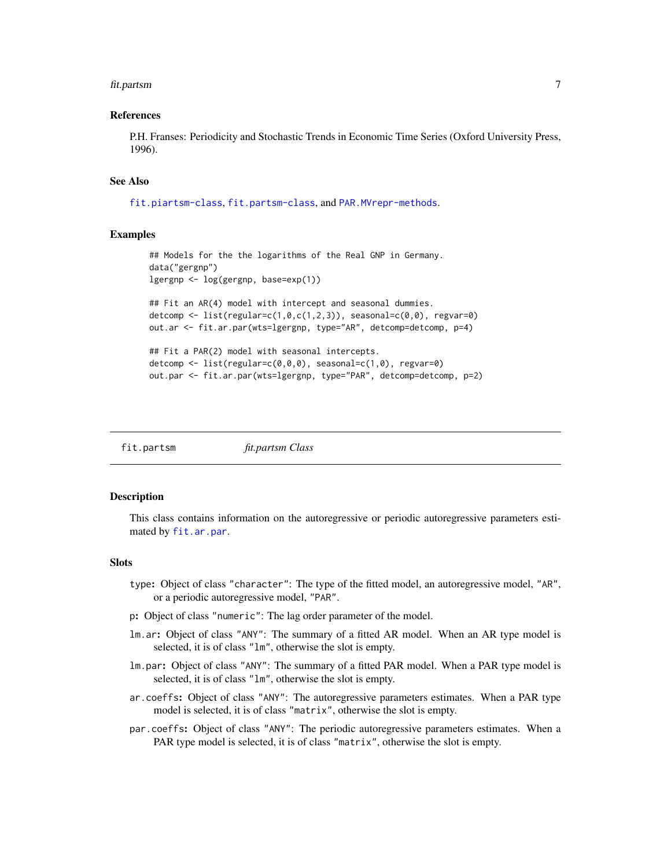#### <span id="page-6-0"></span>fit.partsm 7

#### References

P.H. Franses: Periodicity and Stochastic Trends in Economic Time Series (Oxford University Press, 1996).

## See Also

[fit.piartsm-class](#page-8-1), [fit.partsm-class](#page-6-1), and [PAR.MVrepr-methods](#page-22-1).

#### Examples

```
## Models for the the logarithms of the Real GNP in Germany.
data("gergnp")
lgergnp <- log(gergnp, base=exp(1))
## Fit an AR(4) model with intercept and seasonal dummies.
detcomp \leq list(regular=c(1,0,c(1,2,3)), seasonal=c(0,0), regvar=0)
out.ar <- fit.ar.par(wts=lgergnp, type="AR", detcomp=detcomp, p=4)
## Fit a PAR(2) model with seasonal intercepts.
detcomp <- list(regular=c(0,0,0), seasonal=c(1,0), regvar=0)
out.par <- fit.ar.par(wts=lgergnp, type="PAR", detcomp=detcomp, p=2)
```
fit.partsm *fit.partsm Class*

## <span id="page-6-1"></span>Description

This class contains information on the autoregressive or periodic autoregressive parameters estimated by [fit.ar.par](#page-4-1).

## **Slots**

- type: Object of class "character": The type of the fitted model, an autoregressive model, "AR", or a periodic autoregressive model, "PAR".
- p: Object of class "numeric": The lag order parameter of the model.
- lm.ar: Object of class "ANY": The summary of a fitted AR model. When an AR type model is selected, it is of class "lm", otherwise the slot is empty.
- lm.par: Object of class "ANY": The summary of a fitted PAR model. When a PAR type model is selected, it is of class "lm", otherwise the slot is empty.
- ar.coeffs: Object of class "ANY": The autoregressive parameters estimates. When a PAR type model is selected, it is of class "matrix", otherwise the slot is empty.
- par.coeffs: Object of class "ANY": The periodic autoregressive parameters estimates. When a PAR type model is selected, it is of class "matrix", otherwise the slot is empty.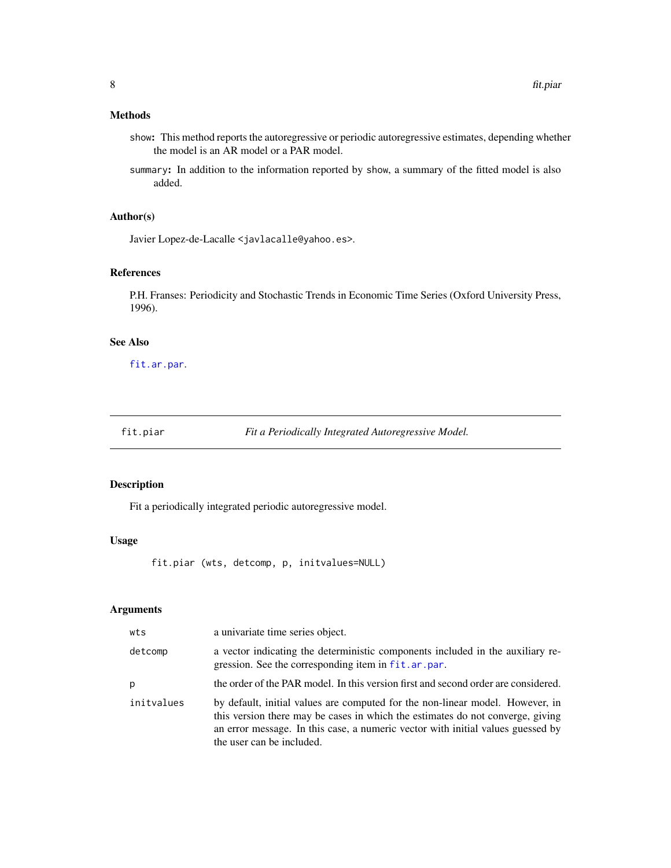## <span id="page-7-0"></span>Methods

- show: This method reports the autoregressive or periodic autoregressive estimates, depending whether the model is an AR model or a PAR model.
- summary: In addition to the information reported by show, a summary of the fitted model is also added.

## Author(s)

Javier Lopez-de-Lacalle <javlacalle@yahoo.es>.

## References

P.H. Franses: Periodicity and Stochastic Trends in Economic Time Series (Oxford University Press, 1996).

## See Also

[fit.ar.par](#page-4-1).

<span id="page-7-1"></span>fit.piar *Fit a Periodically Integrated Autoregressive Model.*

## Description

Fit a periodically integrated periodic autoregressive model.

#### Usage

fit.piar (wts, detcomp, p, initvalues=NULL)

## Arguments

| wts        | a univariate time series object.                                                                                                                                                                                                                                                |
|------------|---------------------------------------------------------------------------------------------------------------------------------------------------------------------------------------------------------------------------------------------------------------------------------|
| detcomp    | a vector indicating the deterministic components included in the auxiliary re-<br>gression. See the corresponding item in fit.ar.par.                                                                                                                                           |
| p          | the order of the PAR model. In this version first and second order are considered.                                                                                                                                                                                              |
| initvalues | by default, initial values are computed for the non-linear model. However, in<br>this version there may be cases in which the estimates do not converge, giving<br>an error message. In this case, a numeric vector with initial values guessed by<br>the user can be included. |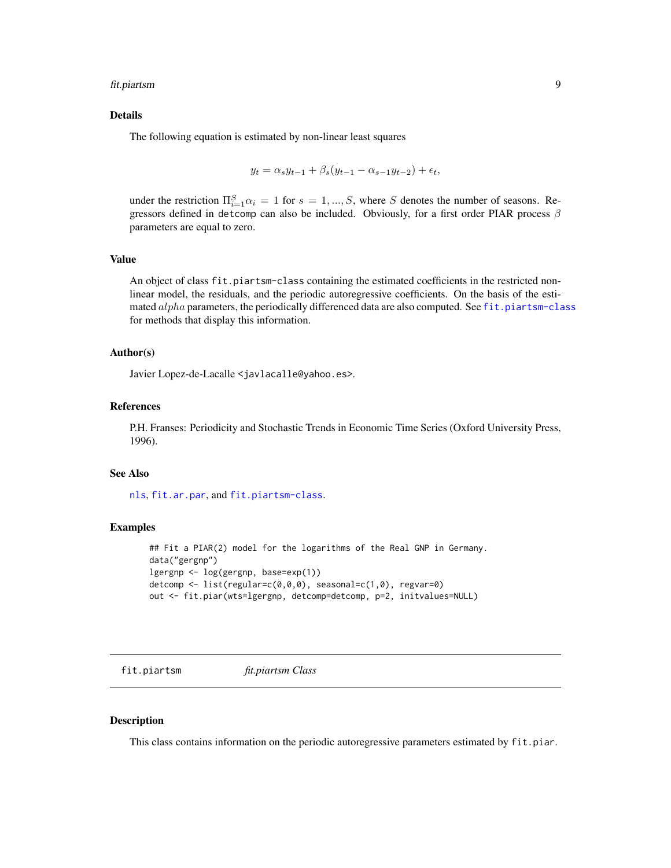#### <span id="page-8-0"></span>fit.piartsm 9

## Details

The following equation is estimated by non-linear least squares

$$
y_t = \alpha_s y_{t-1} + \beta_s (y_{t-1} - \alpha_{s-1} y_{t-2}) + \epsilon_t,
$$

under the restriction  $\Pi_{i=1}^{S} \alpha_i = 1$  for  $s = 1, ..., S$ , where S denotes the number of seasons. Regressors defined in detcomp can also be included. Obviously, for a first order PIAR process  $\beta$ parameters are equal to zero.

## Value

An object of class fit.piartsm-class containing the estimated coefficients in the restricted nonlinear model, the residuals, and the periodic autoregressive coefficients. On the basis of the estimated  $alpha$  parameters, the periodically differenced data are also computed. See [fit.piartsm-class](#page-8-1) for methods that display this information.

#### Author(s)

Javier Lopez-de-Lacalle <javlacalle@yahoo.es>.

## References

P.H. Franses: Periodicity and Stochastic Trends in Economic Time Series (Oxford University Press, 1996).

## See Also

[nls](#page-0-0), [fit.ar.par](#page-4-1), and [fit.piartsm-class](#page-8-1).

## Examples

```
## Fit a PIAR(2) model for the logarithms of the Real GNP in Germany.
data("gergnp")
lgergnp <- log(gergnp, base=exp(1))
detcomp <- list(regular=c(0,0,0), seasonal=c(1,0), regvar=0)
out <- fit.piar(wts=lgergnp, detcomp=detcomp, p=2, initvalues=NULL)
```
fit.piartsm *fit.piartsm Class*

#### <span id="page-8-1"></span>**Description**

This class contains information on the periodic autoregressive parameters estimated by fit.piar.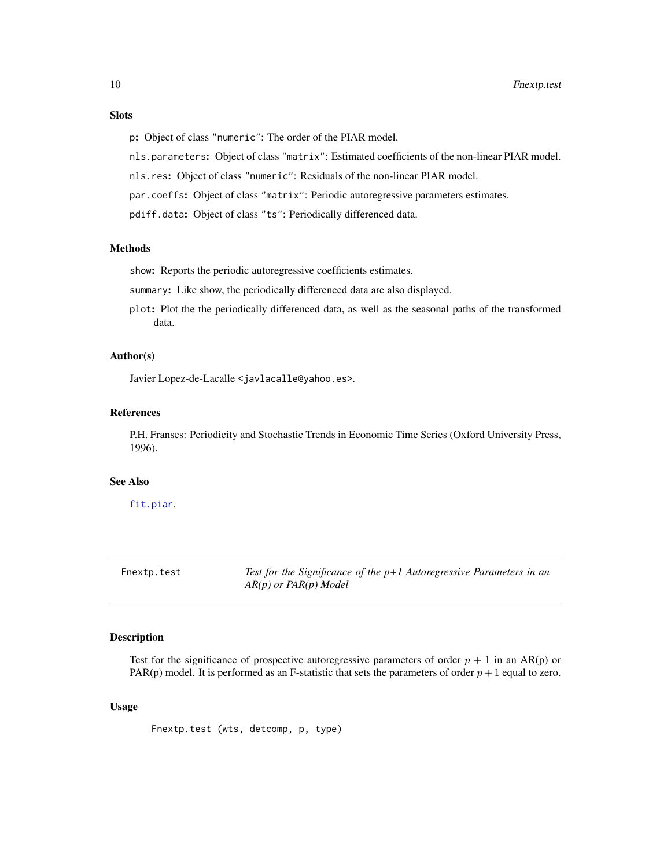## <span id="page-9-0"></span>**Slots**

- p: Object of class "numeric": The order of the PIAR model.
- nls.parameters: Object of class "matrix": Estimated coefficients of the non-linear PIAR model.
- nls.res: Object of class "numeric": Residuals of the non-linear PIAR model.
- par.coeffs: Object of class "matrix": Periodic autoregressive parameters estimates.
- pdiff.data: Object of class "ts": Periodically differenced data.

#### Methods

show: Reports the periodic autoregressive coefficients estimates.

summary: Like show, the periodically differenced data are also displayed.

plot: Plot the the periodically differenced data, as well as the seasonal paths of the transformed data.

## Author(s)

Javier Lopez-de-Lacalle <javlacalle@yahoo.es>.

#### References

P.H. Franses: Periodicity and Stochastic Trends in Economic Time Series (Oxford University Press, 1996).

## See Also

[fit.piar](#page-7-1).

<span id="page-9-1"></span>

| Fnextp.test |  |  |
|-------------|--|--|
|             |  |  |

Test for the Significance of the p+1 Autoregressive Parameters in an *AR(p) or PAR(p) Model*

#### Description

Test for the significance of prospective autoregressive parameters of order  $p + 1$  in an AR(p) or PAR(p) model. It is performed as an F-statistic that sets the parameters of order  $p + 1$  equal to zero.

#### Usage

Fnextp.test (wts, detcomp, p, type)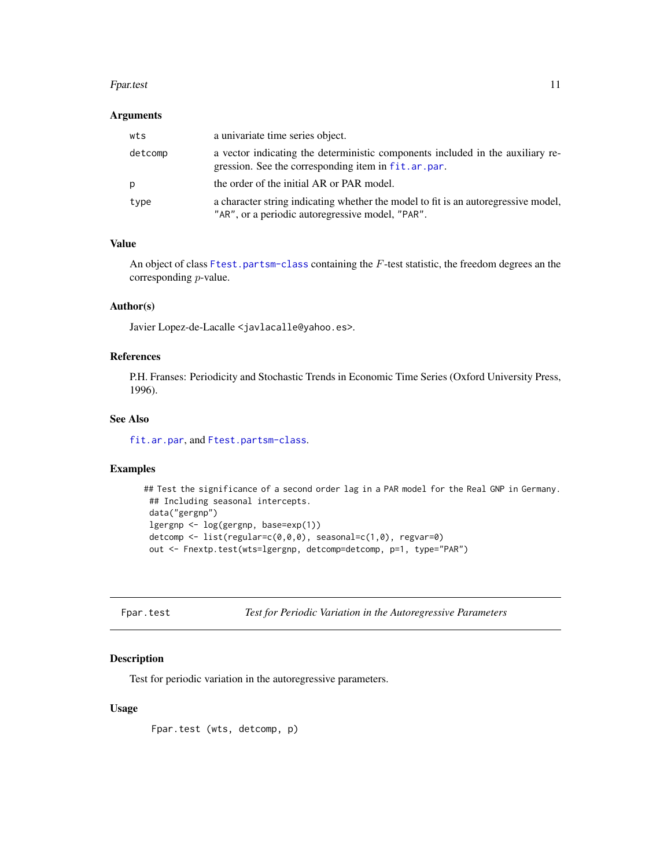#### <span id="page-10-0"></span>Fpar.test 11

## Arguments

| wts     | a univariate time series object.                                                                                                       |
|---------|----------------------------------------------------------------------------------------------------------------------------------------|
| detcomp | a vector indicating the deterministic components included in the auxiliary re-<br>gression. See the corresponding item in fit.ar.par.  |
| p       | the order of the initial AR or PAR model.                                                                                              |
| type    | a character string indicating whether the model to fit is an autoregressive model,<br>"AR", or a periodic autoregressive model, "PAR". |

## Value

An object of class [Ftest.partsm-class](#page-14-1) containing the F-test statistic, the freedom degrees an the corresponding p-value.

#### Author(s)

Javier Lopez-de-Lacalle <javlacalle@yahoo.es>.

## References

P.H. Franses: Periodicity and Stochastic Trends in Economic Time Series (Oxford University Press, 1996).

#### See Also

[fit.ar.par](#page-4-1), and [Ftest.partsm-class](#page-14-1).

## Examples

```
## Test the significance of a second order lag in a PAR model for the Real GNP in Germany.
 ## Including seasonal intercepts.
 data("gergnp")
lgergnp <- log(gergnp, base=exp(1))
detcomp <- list(regular=c(0,0,0), seasonal=c(1,0), regvar=0)
 out <- Fnextp.test(wts=lgergnp, detcomp=detcomp, p=1, type="PAR")
```

```
Fpar.test Test for Periodic Variation in the Autoregressive Parameters
```
## Description

Test for periodic variation in the autoregressive parameters.

#### Usage

Fpar.test (wts, detcomp, p)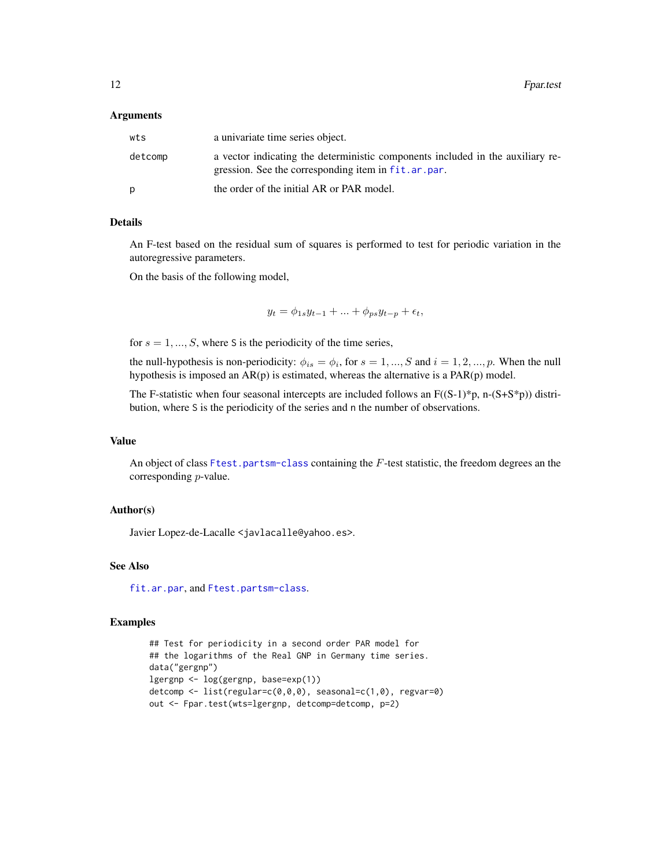#### Arguments

| wts     | a univariate time series object.                                                                                                      |
|---------|---------------------------------------------------------------------------------------------------------------------------------------|
| detcomp | a vector indicating the deterministic components included in the auxiliary re-<br>gression. See the corresponding item in fit.ar.par. |
| D       | the order of the initial AR or PAR model.                                                                                             |

#### Details

An F-test based on the residual sum of squares is performed to test for periodic variation in the autoregressive parameters.

On the basis of the following model,

 $y_t = \phi_{1s} y_{t-1} + ... + \phi_{ps} y_{t-p} + \epsilon_t,$ 

for  $s = 1, ..., S$ , where S is the periodicity of the time series,

the null-hypothesis is non-periodicity:  $\phi_{is} = \phi_i$ , for  $s = 1, ..., S$  and  $i = 1, 2, ..., p$ . When the null hypothesis is imposed an  $AR(p)$  is estimated, whereas the alternative is a  $PAR(p)$  model.

The F-statistic when four seasonal intercepts are included follows an  $F((S-1)^*p, n-(S+S^*p))$  distribution, where S is the periodicity of the series and n the number of observations.

## Value

An object of class [Ftest.partsm-class](#page-14-1) containing the F-test statistic, the freedom degrees an the corresponding p-value.

## Author(s)

Javier Lopez-de-Lacalle <javlacalle@yahoo.es>.

## See Also

[fit.ar.par](#page-4-1), and [Ftest.partsm-class](#page-14-1).

#### Examples

```
## Test for periodicity in a second order PAR model for
## the logarithms of the Real GNP in Germany time series.
data("gergnp")
lgergnp <- log(gergnp, base=exp(1))
detcomp <- list(regular=c(0,0,0), seasonal=c(1,0), regvar=0)
out <- Fpar.test(wts=lgergnp, detcomp=detcomp, p=2)
```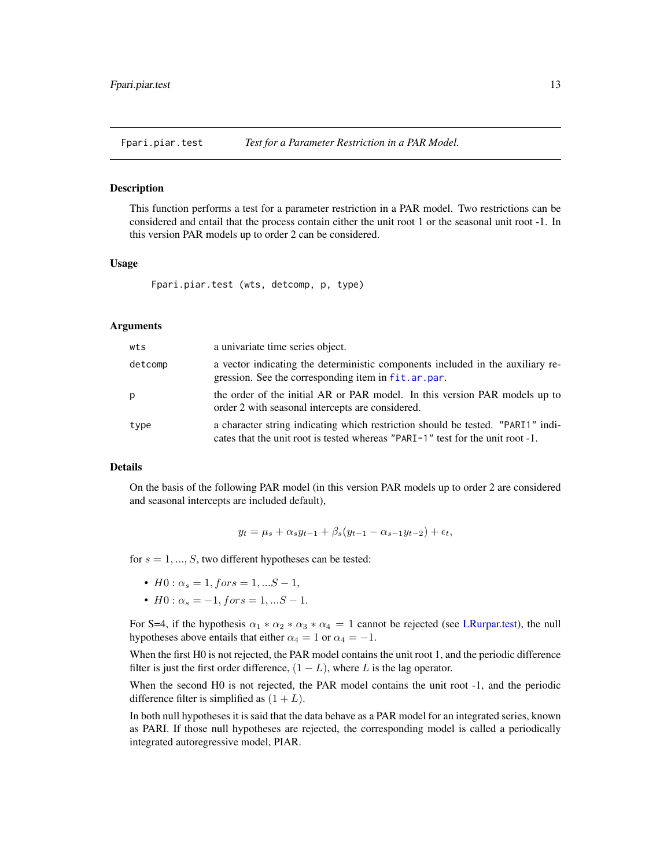<span id="page-12-1"></span><span id="page-12-0"></span>Fpari.piar.test *Test for a Parameter Restriction in a PAR Model.*

#### **Description**

This function performs a test for a parameter restriction in a PAR model. Two restrictions can be considered and entail that the process contain either the unit root 1 or the seasonal unit root -1. In this version PAR models up to order 2 can be considered.

#### Usage

```
Fpari.piar.test (wts, detcomp, p, type)
```
#### Arguments

| wts     | a univariate time series object.                                                                                                                                  |
|---------|-------------------------------------------------------------------------------------------------------------------------------------------------------------------|
| detcomp | a vector indicating the deterministic components included in the auxiliary re-<br>gression. See the corresponding item in fit.ar.par.                             |
| p       | the order of the initial AR or PAR model. In this version PAR models up to<br>order 2 with seasonal intercepts are considered.                                    |
| type    | a character string indicating which restriction should be tested. "PARI1" indi-<br>cates that the unit root is tested whereas "PARI-1" test for the unit root -1. |

#### Details

On the basis of the following PAR model (in this version PAR models up to order 2 are considered and seasonal intercepts are included default),

 $y_t = \mu_s + \alpha_s y_{t-1} + \beta_s (y_{t-1} - \alpha_{s-1} y_{t-2}) + \epsilon_t,$ 

for  $s = 1, ..., S$ , two different hypotheses can be tested:

- $H0: \alpha_s = 1, for s = 1, ... S 1,$
- $H0: \alpha_s = -1$ ,  $fors = 1, ...S 1$ .

For S=4, if the hypothesis  $\alpha_1 * \alpha_2 * \alpha_3 * \alpha_4 = 1$  cannot be rejected (see [LRurpar.test\)](#page-18-1), the null hypotheses above entails that either  $\alpha_4 = 1$  or  $\alpha_4 = -1$ .

When the first H0 is not rejected, the PAR model contains the unit root 1, and the periodic difference filter is just the first order difference,  $(1 - L)$ , where L is the lag operator.

When the second H0 is not rejected, the PAR model contains the unit root -1, and the periodic difference filter is simplified as  $(1 + L)$ .

In both null hypotheses it is said that the data behave as a PAR model for an integrated series, known as PARI. If those null hypotheses are rejected, the corresponding model is called a periodically integrated autoregressive model, PIAR.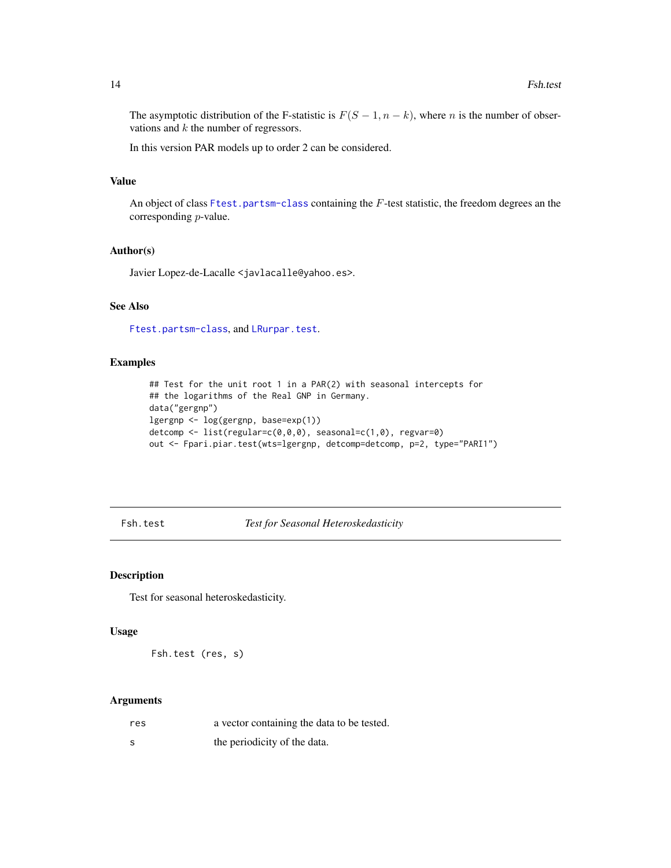The asymptotic distribution of the F-statistic is  $F(S-1, n-k)$ , where n is the number of observations and  $k$  the number of regressors.

In this version PAR models up to order 2 can be considered.

## Value

An object of class [Ftest.partsm-class](#page-14-1) containing the F-test statistic, the freedom degrees an the corresponding p-value.

#### Author(s)

Javier Lopez-de-Lacalle <javlacalle@yahoo.es>.

## See Also

[Ftest.partsm-class](#page-14-1), and [LRurpar.test](#page-18-1).

## Examples

```
## Test for the unit root 1 in a PAR(2) with seasonal intercepts for
## the logarithms of the Real GNP in Germany.
data("gergnp")
lgergnp <- log(gergnp, base=exp(1))
detcomp <- list(regular=c(0,0,0), seasonal=c(1,0), regvar=0)
out <- Fpari.piar.test(wts=lgergnp, detcomp=detcomp, p=2, type="PARI1")
```
<span id="page-13-1"></span>Fsh.test *Test for Seasonal Heteroskedasticity*

#### Description

Test for seasonal heteroskedasticity.

## Usage

Fsh.test (res, s)

## Arguments

| res | a vector containing the data to be tested. |
|-----|--------------------------------------------|
| - S | the periodicity of the data.               |

<span id="page-13-0"></span>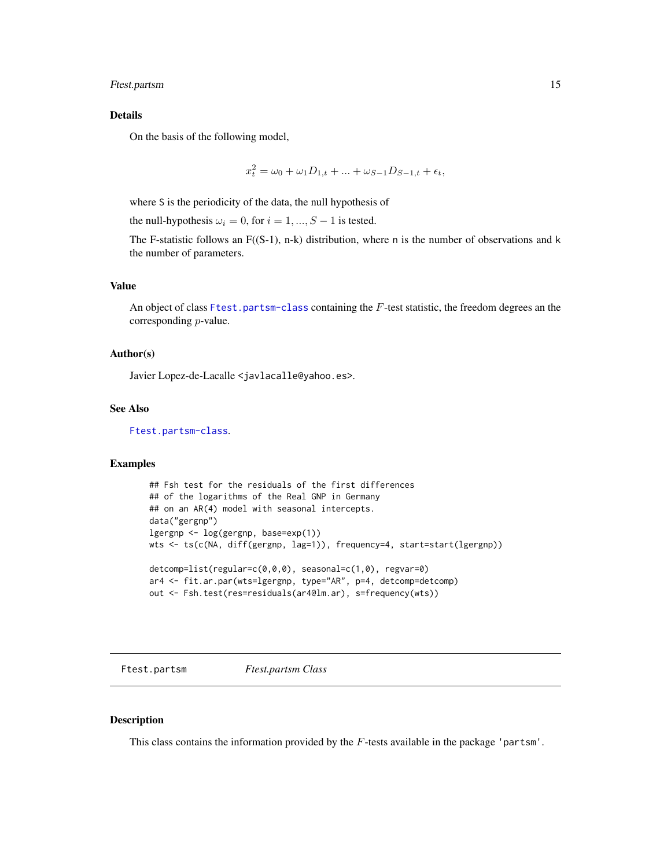## <span id="page-14-0"></span>Ftest.partsm 15

## Details

On the basis of the following model,

$$
x_t^2 = \omega_0 + \omega_1 D_{1,t} + \dots + \omega_{S-1} D_{S-1,t} + \epsilon_t,
$$

where S is the periodicity of the data, the null hypothesis of

the null-hypothesis  $\omega_i = 0$ , for  $i = 1, ..., S - 1$  is tested.

The F-statistic follows an  $F((S-1), n-k)$  distribution, where n is the number of observations and k the number of parameters.

#### Value

An object of class [Ftest.partsm-class](#page-14-1) containing the F-test statistic, the freedom degrees an the corresponding p-value.

#### Author(s)

Javier Lopez-de-Lacalle <javlacalle@yahoo.es>.

## See Also

[Ftest.partsm-class](#page-14-1).

## Examples

```
## Fsh test for the residuals of the first differences
## of the logarithms of the Real GNP in Germany
## on an AR(4) model with seasonal intercepts.
data("gergnp")
lgergnp <- log(gergnp, base=exp(1))
wts <- ts(c(NA, diff(gergnp, lag=1)), frequency=4, start=start(lgergnp))
detcomp=list(regular=c(0,0,0), seasonal=c(1,0), regvar=0)
ar4 <- fit.ar.par(wts=lgergnp, type="AR", p=4, detcomp=detcomp)
out <- Fsh.test(res=residuals(ar4@lm.ar), s=frequency(wts))
```
Ftest.partsm *Ftest.partsm Class*

#### <span id="page-14-1"></span>Description

This class contains the information provided by the  $F$ -tests available in the package 'partsm'.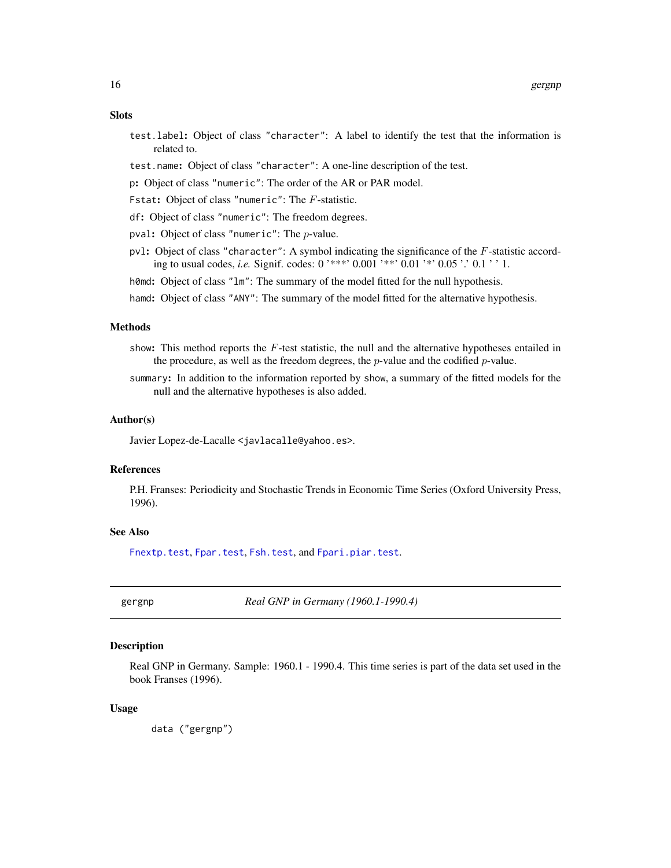## <span id="page-15-0"></span>**Slots**

- test.label: Object of class "character": A label to identify the test that the information is related to.
- test.name: Object of class "character": A one-line description of the test.
- p: Object of class "numeric": The order of the AR or PAR model.
- Fstat: Object of class "numeric": The F-statistic.
- df: Object of class "numeric": The freedom degrees.
- pval: Object of class "numeric": The p-value.
- pvl: Object of class "character": A symbol indicating the significance of the F-statistic according to usual codes, *i.e.* Signif. codes: 0 '\*\*\*' 0.001 '\*\*' 0.01 '\*' 0.05 '.' 0.1 ' ' 1.
- h0md: Object of class "1m": The summary of the model fitted for the null hypothesis.
- hamd: Object of class "ANY": The summary of the model fitted for the alternative hypothesis.

## Methods

- show: This method reports the F-test statistic, the null and the alternative hypotheses entailed in the procedure, as well as the freedom degrees, the p-value and the codified p-value.
- summary: In addition to the information reported by show, a summary of the fitted models for the null and the alternative hypotheses is also added.

#### Author(s)

Javier Lopez-de-Lacalle <javlacalle@yahoo.es>.

## References

P.H. Franses: Periodicity and Stochastic Trends in Economic Time Series (Oxford University Press, 1996).

#### See Also

[Fnextp.test](#page-9-1), [Fpar.test](#page-10-1), [Fsh.test](#page-13-1), and [Fpari.piar.test](#page-12-1).

gergnp *Real GNP in Germany (1960.1-1990.4)*

#### **Description**

Real GNP in Germany. Sample: 1960.1 - 1990.4. This time series is part of the data set used in the book Franses (1996).

#### Usage

data ("gergnp")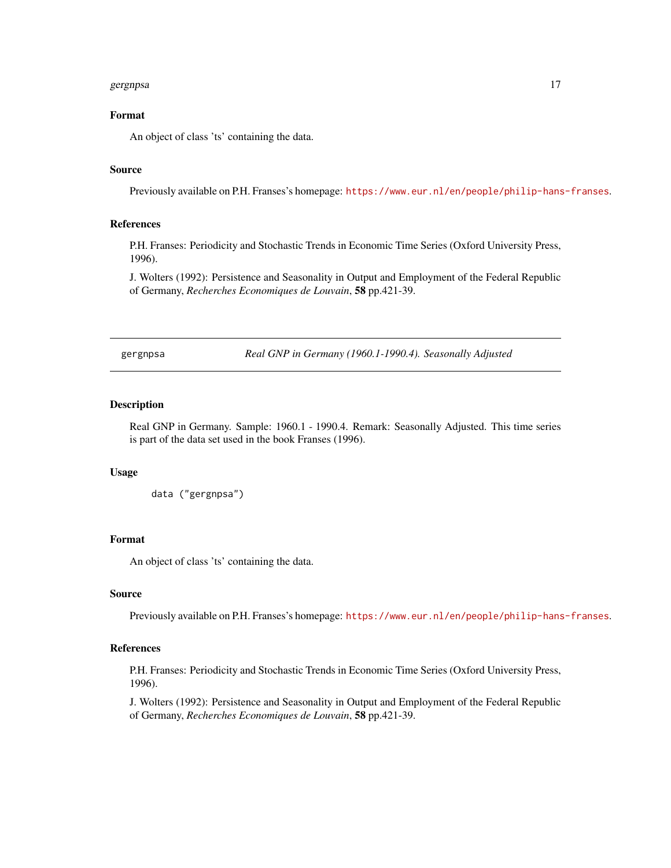#### <span id="page-16-0"></span>gergnpsa 17

## Format

An object of class 'ts' containing the data.

## Source

Previously available on P.H. Franses's homepage: <https://www.eur.nl/en/people/philip-hans-franses>.

## References

P.H. Franses: Periodicity and Stochastic Trends in Economic Time Series (Oxford University Press, 1996).

J. Wolters (1992): Persistence and Seasonality in Output and Employment of the Federal Republic of Germany, *Recherches Economiques de Louvain*, 58 pp.421-39.

gergnpsa *Real GNP in Germany (1960.1-1990.4). Seasonally Adjusted*

## Description

Real GNP in Germany. Sample: 1960.1 - 1990.4. Remark: Seasonally Adjusted. This time series is part of the data set used in the book Franses (1996).

#### Usage

```
data ("gergnpsa")
```
## Format

An object of class 'ts' containing the data.

#### Source

Previously available on P.H. Franses's homepage: <https://www.eur.nl/en/people/philip-hans-franses>.

#### References

P.H. Franses: Periodicity and Stochastic Trends in Economic Time Series (Oxford University Press, 1996).

J. Wolters (1992): Persistence and Seasonality in Output and Employment of the Federal Republic of Germany, *Recherches Economiques de Louvain*, 58 pp.421-39.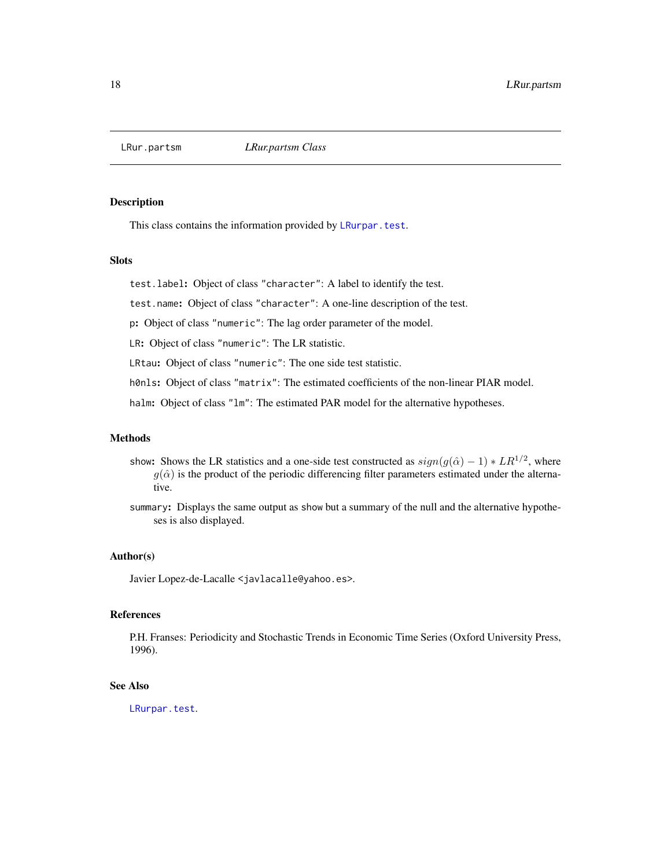<span id="page-17-1"></span><span id="page-17-0"></span>

This class contains the information provided by [LRurpar.test](#page-18-1).

## **Slots**

test.label: Object of class "character": A label to identify the test.

test.name: Object of class "character": A one-line description of the test.

p: Object of class "numeric": The lag order parameter of the model.

LR: Object of class "numeric": The LR statistic.

LRtau: Object of class "numeric": The one side test statistic.

h0nls: Object of class "matrix": The estimated coefficients of the non-linear PIAR model.

halm: Object of class "1m": The estimated PAR model for the alternative hypotheses.

### Methods

- show: Shows the LR statistics and a one-side test constructed as  $sign(g(\hat{\alpha}) 1) * LR^{1/2}$ , where  $g(\hat{\alpha})$  is the product of the periodic differencing filter parameters estimated under the alternative.
- summary: Displays the same output as show but a summary of the null and the alternative hypotheses is also displayed.

## Author(s)

Javier Lopez-de-Lacalle <javlacalle@yahoo.es>.

## References

P.H. Franses: Periodicity and Stochastic Trends in Economic Time Series (Oxford University Press, 1996).

## See Also

[LRurpar.test](#page-18-1).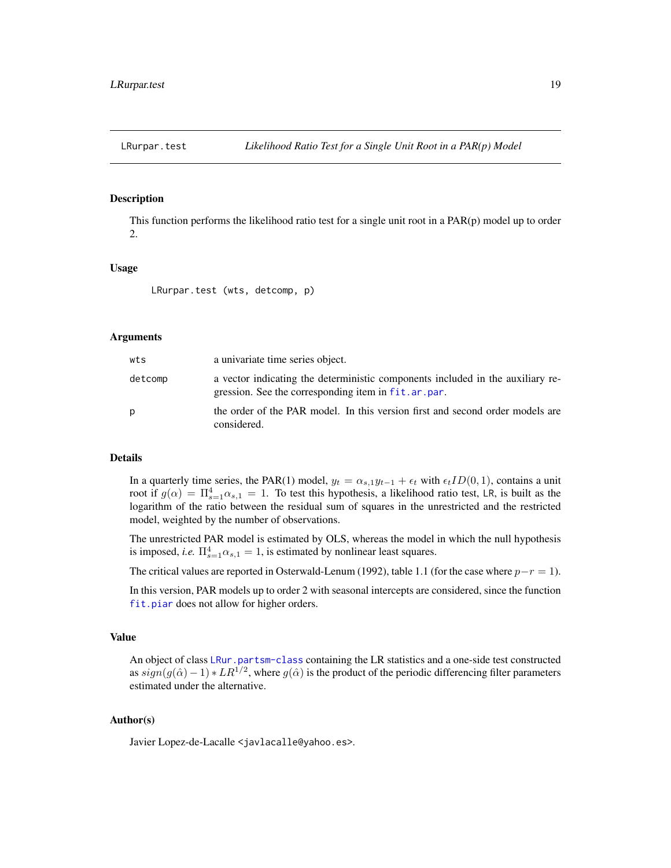<span id="page-18-1"></span><span id="page-18-0"></span>

This function performs the likelihood ratio test for a single unit root in a PAR(p) model up to order 2.

#### Usage

LRurpar.test (wts, detcomp, p)

## Arguments

| wts     | a univariate time series object.                                                                                                      |
|---------|---------------------------------------------------------------------------------------------------------------------------------------|
| detcomp | a vector indicating the deterministic components included in the auxiliary re-<br>gression. See the corresponding item in fit.ar.par. |
| p       | the order of the PAR model. In this version first and second order models are<br>considered.                                          |

## Details

In a quarterly time series, the PAR(1) model,  $y_t = \alpha_{s,1} y_{t-1} + \epsilon_t$  with  $\epsilon_t ID(0, 1)$ , contains a unit root if  $g(\alpha) = \prod_{s=1}^4 \alpha_{s,1} = 1$ . To test this hypothesis, a likelihood ratio test, LR, is built as the logarithm of the ratio between the residual sum of squares in the unrestricted and the restricted model, weighted by the number of observations.

The unrestricted PAR model is estimated by OLS, whereas the model in which the null hypothesis is imposed, *i.e.*  $\Pi_{s=1}^4 \alpha_{s,1} = 1$ , is estimated by nonlinear least squares.

The critical values are reported in Osterwald-Lenum (1992), table 1.1 (for the case where  $p-r = 1$ ).

In this version, PAR models up to order 2 with seasonal intercepts are considered, since the function [fit.piar](#page-7-1) does not allow for higher orders.

#### Value

An object of class [LRur.partsm-class](#page-17-1) containing the LR statistics and a one-side test constructed as  $sign(g(\hat{\alpha}) - 1) * LR^{1/2}$ , where  $g(\hat{\alpha})$  is the product of the periodic differencing filter parameters estimated under the alternative.

#### Author(s)

Javier Lopez-de-Lacalle <javlacalle@yahoo.es>.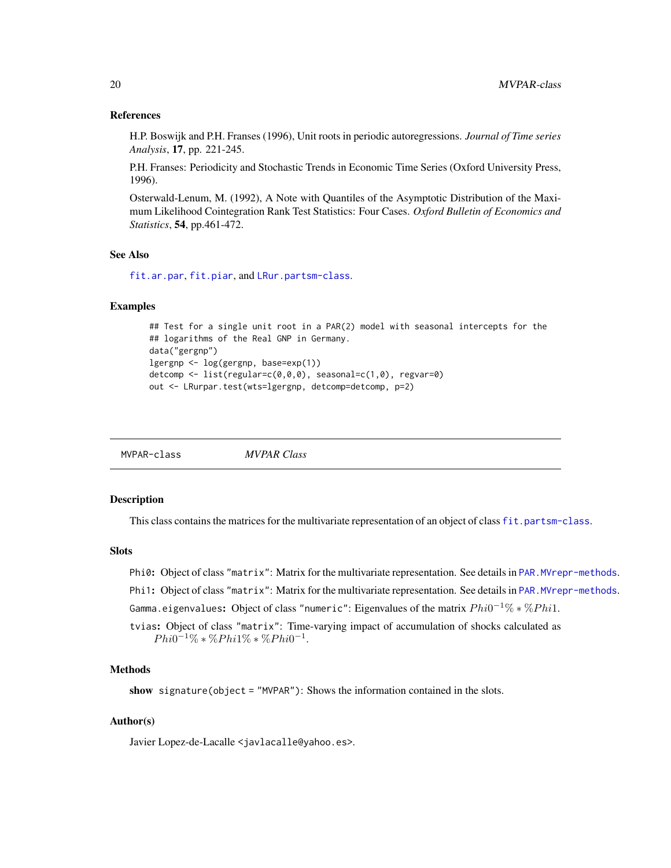#### <span id="page-19-0"></span>References

H.P. Boswijk and P.H. Franses (1996), Unit roots in periodic autoregressions. *Journal of Time series Analysis*, 17, pp. 221-245.

P.H. Franses: Periodicity and Stochastic Trends in Economic Time Series (Oxford University Press, 1996).

Osterwald-Lenum, M. (1992), A Note with Quantiles of the Asymptotic Distribution of the Maximum Likelihood Cointegration Rank Test Statistics: Four Cases. *Oxford Bulletin of Economics and Statistics*, 54, pp.461-472.

#### See Also

[fit.ar.par](#page-4-1), [fit.piar](#page-7-1), and [LRur.partsm-class](#page-17-1).

#### Examples

```
## Test for a single unit root in a PAR(2) model with seasonal intercepts for the
## logarithms of the Real GNP in Germany.
data("gergnp")
lgergnp <- log(gergnp, base=exp(1))
detcomp <- list(regular=c(0,0,0), seasonal=c(1,0), regvar=0)
out <- LRurpar.test(wts=lgergnp, detcomp=detcomp, p=2)
```
MVPAR-class *MVPAR Class*

#### Description

This class contains the matrices for the multivariate representation of an object of class [fit.partsm-class](#page-6-1).

#### **Slots**

- Phi0: Object of class "matrix": Matrix for the multivariate representation. See details in [PAR.MVrepr-methods](#page-22-1).
- Phi1: Object of class "matrix": Matrix for the multivariate representation. See details in PAR. MVrepr-methods.

Gamma.eigenvalues: Object of class "numeric": Eigenvalues of the matrix  $Phi^{-1}\%*\%Phi^{-1}.$ 

tvias: Object of class "matrix": Time-varying impact of accumulation of shocks calculated as  $Phi^{-1}\% * \%Phi^{-1}$ :  $\%Phi^{-1}$ .

## Methods

show signature(object = "MVPAR"): Shows the information contained in the slots.

## Author(s)

Javier Lopez-de-Lacalle <javlacalle@yahoo.es>.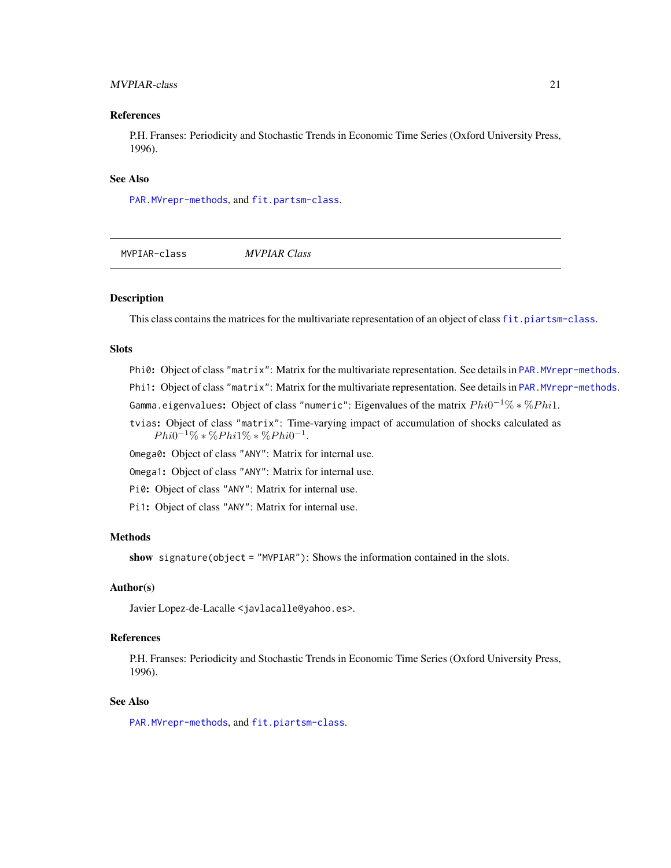## <span id="page-20-0"></span>MVPIAR-class 21

#### References

P.H. Franses: Periodicity and Stochastic Trends in Economic Time Series (Oxford University Press, 1996).

#### See Also

[PAR.MVrepr-methods](#page-22-1), and [fit.partsm-class](#page-6-1).

| MVPIAR-class | <b>MVPIAR Class</b> |  |
|--------------|---------------------|--|
|              |                     |  |

## Description

This class contains the matrices for the multivariate representation of an object of class [fit.piartsm-class](#page-8-1).

## Slots

Phi0: Object of class "matrix": Matrix for the multivariate representation. See details in [PAR.MVrepr-methods](#page-22-1). Phi1: Object of class "matrix": Matrix for the multivariate representation. See details in PAR. MVrepr-methods. Gamma.eigenvalues: Object of class "numeric": Eigenvalues of the matrix  $Phi^{-1}\%*\%Phi^{-1}.$ 

tvias: Object of class "matrix": Time-varying impact of accumulation of shocks calculated as

 $Phi^{-1}\% * \%Phi^{-1}$ :  $\%Phi^{-1}$ .

Omega0: Object of class "ANY": Matrix for internal use.

Omega1: Object of class "ANY": Matrix for internal use.

Pi0: Object of class "ANY": Matrix for internal use.

Pi1: Object of class "ANY": Matrix for internal use.

## Methods

show signature(object = "MVPIAR"): Shows the information contained in the slots.

#### Author(s)

Javier Lopez-de-Lacalle <javlacalle@yahoo.es>.

## References

P.H. Franses: Periodicity and Stochastic Trends in Economic Time Series (Oxford University Press, 1996).

## See Also

[PAR.MVrepr-methods](#page-22-1), and [fit.piartsm-class](#page-8-1).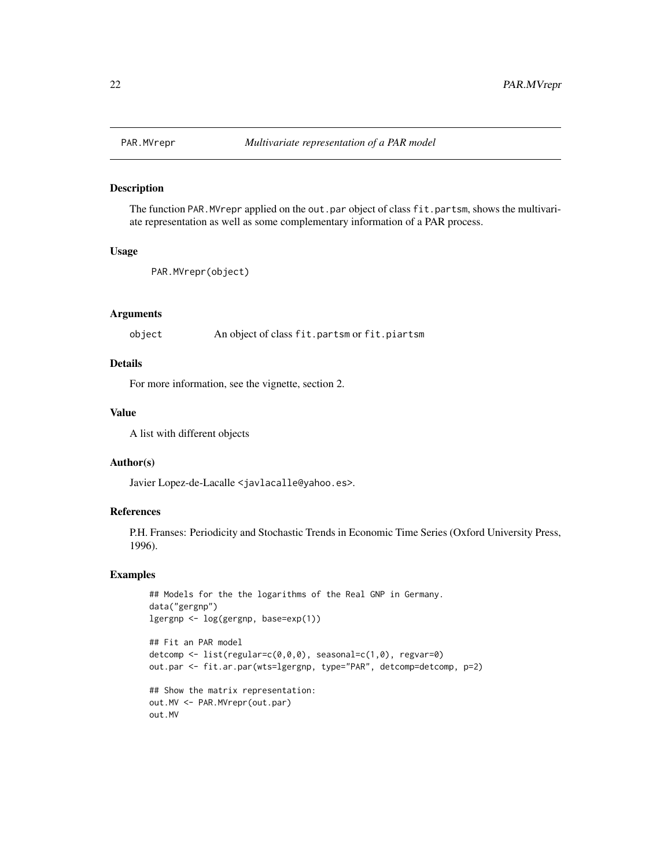<span id="page-21-0"></span>

The function PAR. MVrepr applied on the out.par object of class fit.partsm, shows the multivariate representation as well as some complementary information of a PAR process.

#### Usage

```
PAR.MVrepr(object)
```
## Arguments

object An object of class fit.partsm or fit.piartsm

## Details

For more information, see the vignette, section 2.

#### Value

A list with different objects

#### Author(s)

Javier Lopez-de-Lacalle <javlacalle@yahoo.es>.

## References

P.H. Franses: Periodicity and Stochastic Trends in Economic Time Series (Oxford University Press, 1996).

## Examples

```
## Models for the the logarithms of the Real GNP in Germany.
data("gergnp")
lgergnp <- log(gergnp, base=exp(1))
## Fit an PAR model
detcomp <- list(regular=c(0,0,0), seasonal=c(1,0), regvar=0)
out.par <- fit.ar.par(wts=lgergnp, type="PAR", detcomp=detcomp, p=2)
## Show the matrix representation:
out.MV <- PAR.MVrepr(out.par)
out.MV
```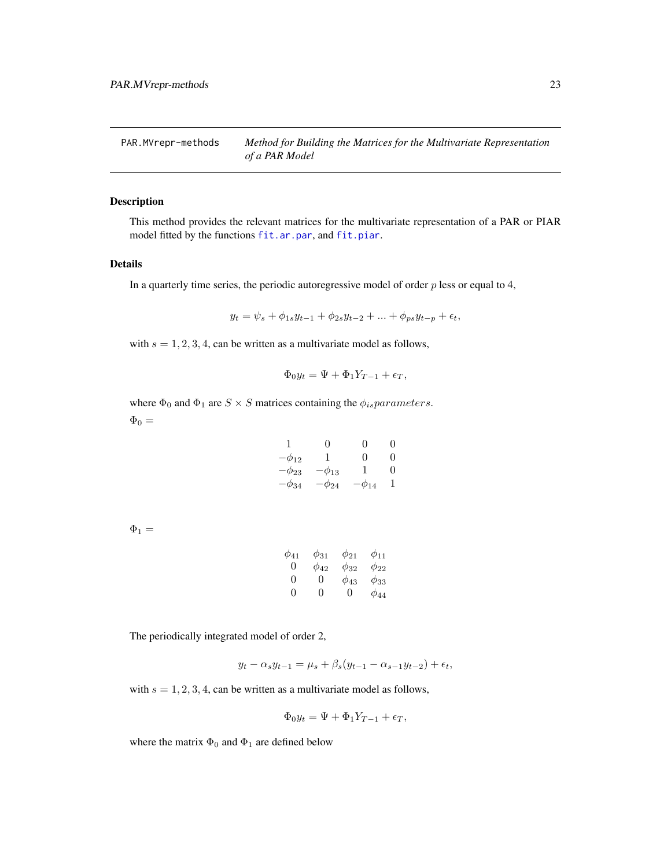<span id="page-22-1"></span><span id="page-22-0"></span>PAR.MVrepr-methods *Method for Building the Matrices for the Multivariate Representation of a PAR Model*

## Description

This method provides the relevant matrices for the multivariate representation of a PAR or PIAR model fitted by the functions [fit.ar.par](#page-4-1), and [fit.piar](#page-7-1).

#### Details

In a quarterly time series, the periodic autoregressive model of order  $p$  less or equal to 4,

$$
y_t = \psi_s + \phi_{1s} y_{t-1} + \phi_{2s} y_{t-2} + \dots + \phi_{ps} y_{t-p} + \epsilon_t,
$$

with  $s = 1, 2, 3, 4$ , can be written as a multivariate model as follows,

$$
\Phi_0 y_t = \Psi + \Phi_1 Y_{T-1} + \epsilon_T,
$$

where  $\Phi_0$  and  $\Phi_1$  are  $S \times S$  matrices containing the  $\phi_{is}$  parameters.  $\Phi_0 =$ 

| 1            | 0            | $\Omega$     | $\mathbf{0}$ |
|--------------|--------------|--------------|--------------|
| $-\phi_{12}$ | 1            | ∩            | $\Omega$     |
| $-\phi_{23}$ | $\phi_{13}$  | 1            | $\Omega$     |
| $-\phi_{34}$ | $-\phi_{24}$ | $-\phi_{14}$ |              |

 $\Phi_1 =$ 

| $\phi_{41}$ | $\phi_{31}$ | $\phi_{21}$ | $\phi_{11}$ |
|-------------|-------------|-------------|-------------|
| 0           | $\phi_{42}$ | $\phi_{32}$ | $\phi_{22}$ |
| ∩           | 0           | $\phi_{43}$ | $\phi_{33}$ |
| ∩           | ∩           | $\Omega$    | <i>Ф</i> 44 |

The periodically integrated model of order 2,

$$
y_t - \alpha_s y_{t-1} = \mu_s + \beta_s (y_{t-1} - \alpha_{s-1} y_{t-2}) + \epsilon_t,
$$

with  $s = 1, 2, 3, 4$ , can be written as a multivariate model as follows,

$$
\Phi_0 y_t = \Psi + \Phi_1 Y_{T-1} + \epsilon_T,
$$

where the matrix  $\Phi_0$  and  $\Phi_1$  are defined below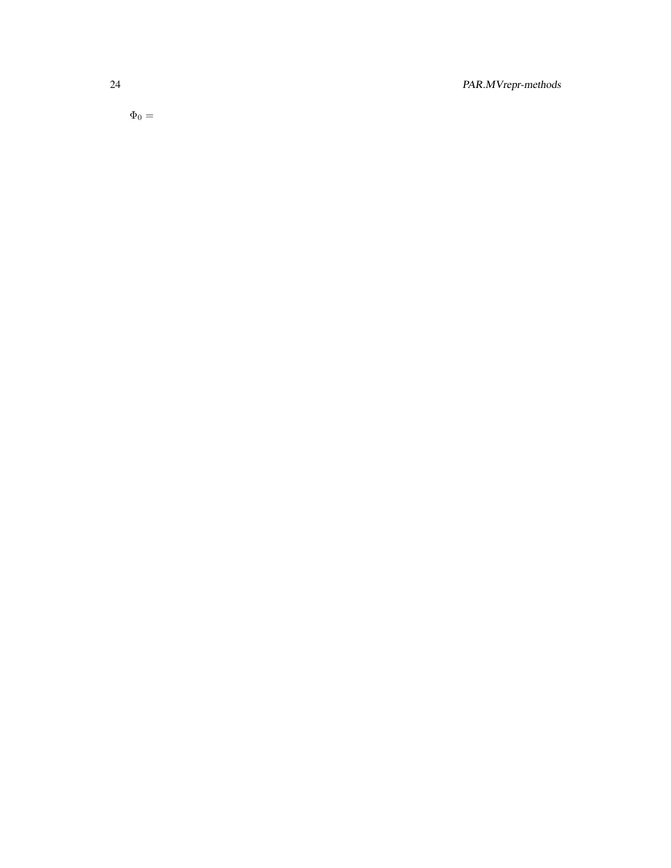24 PAR.MVrepr-methods

 $\Phi_0 =$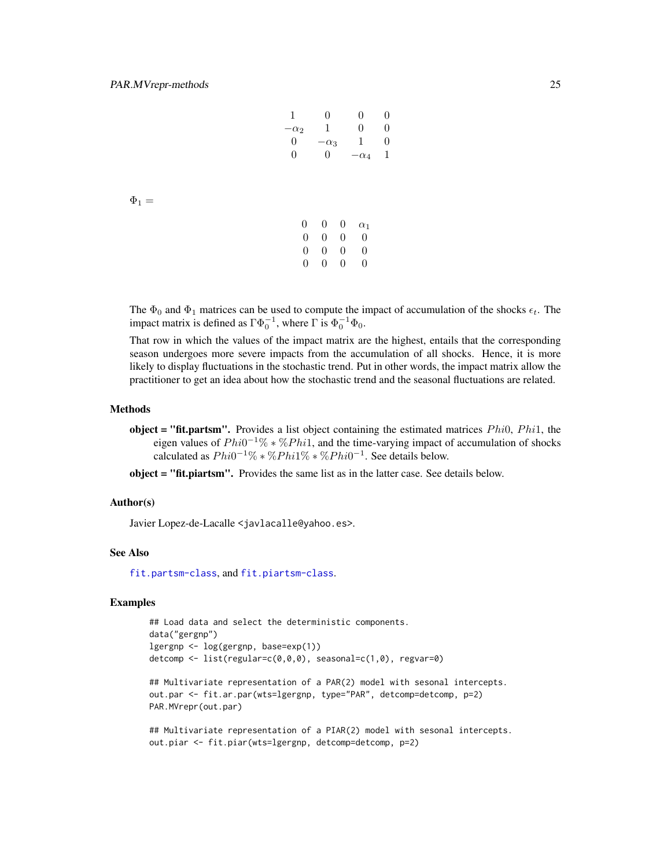$\Phi_1 =$ 

| 1                | 0                | 0               | 0              |
|------------------|------------------|-----------------|----------------|
| $\alpha_2$       | 1                | 0               | $\overline{0}$ |
| 0                | $\alpha_3$       | 1               | $\overline{0}$ |
| $\boldsymbol{0}$ | $\boldsymbol{0}$ | $\alpha_4$      | 1              |
|                  |                  |                 |                |
|                  |                  |                 |                |
|                  |                  |                 |                |
|                  |                  |                 |                |
| $\boldsymbol{0}$ | 0                | 0<br>$\alpha_1$ |                |
|                  |                  |                 |                |
| 0                | 0                | 0<br>$\theta$   |                |

0 0 0 0 0 0 0 0

The  $\Phi_0$  and  $\Phi_1$  matrices can be used to compute the impact of accumulation of the shocks  $\epsilon_t$ . The impact matrix is defined as  $\Gamma \Phi_0^{-1}$ , where  $\Gamma$  is  $\Phi_0^{-1} \Phi_0$ .

That row in which the values of the impact matrix are the highest, entails that the corresponding season undergoes more severe impacts from the accumulation of all shocks. Hence, it is more likely to display fluctuations in the stochastic trend. Put in other words, the impact matrix allow the practitioner to get an idea about how the stochastic trend and the seasonal fluctuations are related.

#### Methods

**object = "fit.partsm".** Provides a list object containing the estimated matrices  $Phi$ ,  $Phi$ ,  $Phi$ ,  $Phi$ eigen values of  $Phi^{-1}\% * \% Phil$ , and the time-varying impact of accumulation of shocks calculated as  $Phi^{-1}\% * \%Phi^{1}\% * \%Phi^{-1}$ . See details below.

object = "fit.piartsm". Provides the same list as in the latter case. See details below.

#### Author(s)

Javier Lopez-de-Lacalle <javlacalle@yahoo.es>.

#### See Also

[fit.partsm-class](#page-6-1), and [fit.piartsm-class](#page-8-1).

## Examples

## Load data and select the deterministic components. data("gergnp") lgergnp <- log(gergnp, base=exp(1)) detcomp <- list(regular=c(0,0,0), seasonal=c(1,0), regvar=0)

## Multivariate representation of a PAR(2) model with sesonal intercepts. out.par <- fit.ar.par(wts=lgergnp, type="PAR", detcomp=detcomp, p=2) PAR.MVrepr(out.par)

## Multivariate representation of a PIAR(2) model with sesonal intercepts. out.piar <- fit.piar(wts=lgergnp, detcomp=detcomp, p=2)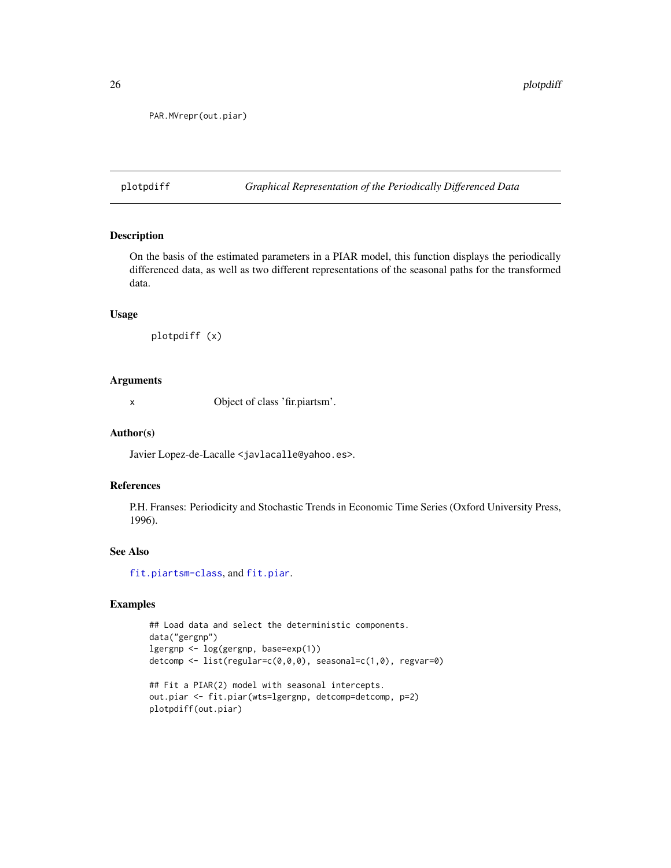```
PAR.MVrepr(out.piar)
```
plotpdiff *Graphical Representation of the Periodically Differenced Data*

## Description

On the basis of the estimated parameters in a PIAR model, this function displays the periodically differenced data, as well as two different representations of the seasonal paths for the transformed data.

#### Usage

```
plotpdiff (x)
```
## Arguments

x Object of class 'fir.piartsm'.

#### Author(s)

Javier Lopez-de-Lacalle <javlacalle@yahoo.es>.

#### References

P.H. Franses: Periodicity and Stochastic Trends in Economic Time Series (Oxford University Press, 1996).

## See Also

[fit.piartsm-class](#page-8-1), and [fit.piar](#page-7-1).

## Examples

## Load data and select the deterministic components. data("gergnp") lgergnp <- log(gergnp, base=exp(1)) detcomp <- list(regular=c(0,0,0), seasonal=c(1,0), regvar=0)

```
## Fit a PIAR(2) model with seasonal intercepts.
out.piar <- fit.piar(wts=lgergnp, detcomp=detcomp, p=2)
plotpdiff(out.piar)
```
<span id="page-25-0"></span>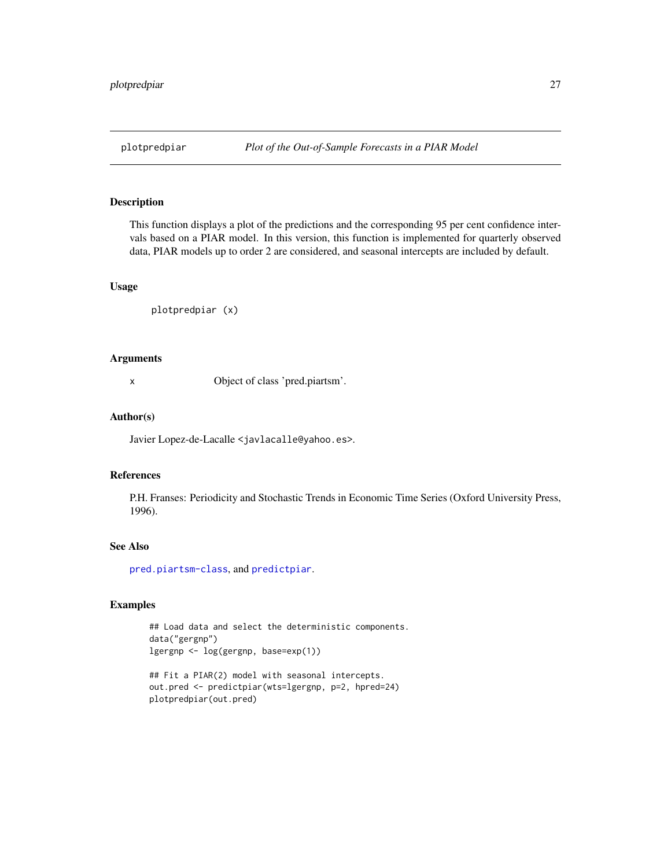<span id="page-26-0"></span>This function displays a plot of the predictions and the corresponding 95 per cent confidence intervals based on a PIAR model. In this version, this function is implemented for quarterly observed data, PIAR models up to order 2 are considered, and seasonal intercepts are included by default.

#### Usage

```
plotpredpiar (x)
```
#### Arguments

x Object of class 'pred.piartsm'.

#### Author(s)

Javier Lopez-de-Lacalle <javlacalle@yahoo.es>.

## References

P.H. Franses: Periodicity and Stochastic Trends in Economic Time Series (Oxford University Press, 1996).

#### See Also

[pred.piartsm-class](#page-27-1), and [predictpiar](#page-28-1).

## Examples

## Load data and select the deterministic components. data("gergnp") lgergnp <- log(gergnp, base=exp(1))

```
## Fit a PIAR(2) model with seasonal intercepts.
out.pred <- predictpiar(wts=lgergnp, p=2, hpred=24)
plotpredpiar(out.pred)
```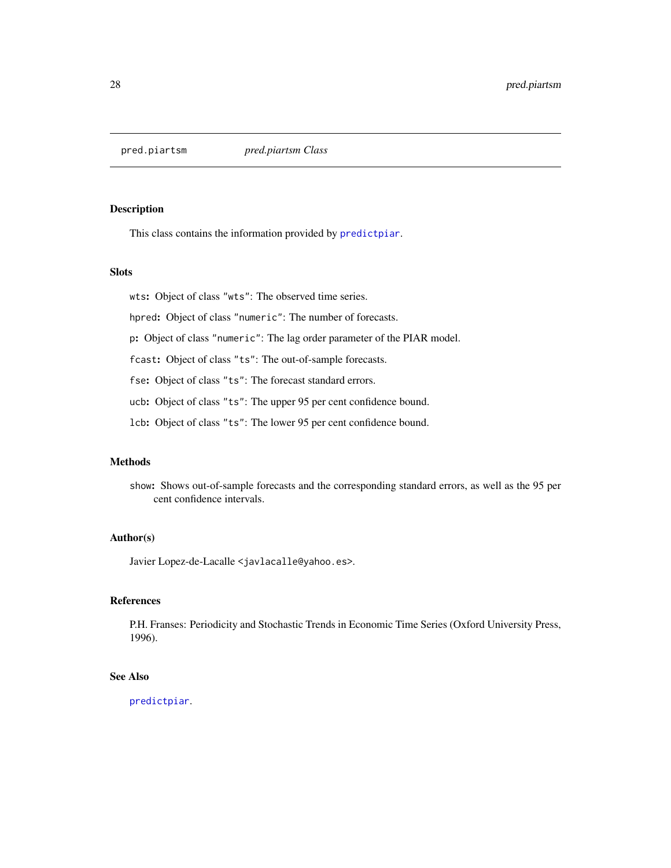<span id="page-27-1"></span><span id="page-27-0"></span>

This class contains the information provided by [predictpiar](#page-28-1).

## Slots

wts: Object of class "wts": The observed time series.

hpred: Object of class "numeric": The number of forecasts.

p: Object of class "numeric": The lag order parameter of the PIAR model.

fcast: Object of class "ts": The out-of-sample forecasts.

fse: Object of class "ts": The forecast standard errors.

ucb: Object of class "ts": The upper 95 per cent confidence bound.

lcb: Object of class "ts": The lower 95 per cent confidence bound.

## Methods

show: Shows out-of-sample forecasts and the corresponding standard errors, as well as the 95 per cent confidence intervals.

## Author(s)

Javier Lopez-de-Lacalle <javlacalle@yahoo.es>.

## References

P.H. Franses: Periodicity and Stochastic Trends in Economic Time Series (Oxford University Press, 1996).

## See Also

[predictpiar](#page-28-1).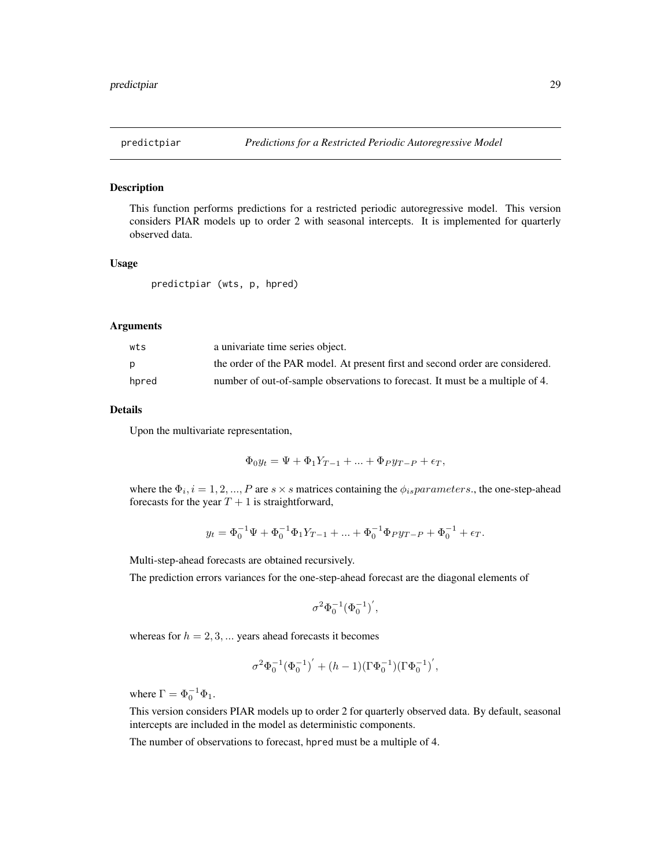<span id="page-28-1"></span><span id="page-28-0"></span>

This function performs predictions for a restricted periodic autoregressive model. This version considers PIAR models up to order 2 with seasonal intercepts. It is implemented for quarterly observed data.

#### Usage

```
predictpiar (wts, p, hpred)
```
#### Arguments

| wts   | a univariate time series object.                                              |
|-------|-------------------------------------------------------------------------------|
|       | the order of the PAR model. At present first and second order are considered. |
| hpred | number of out-of-sample observations to forecast. It must be a multiple of 4. |

#### Details

Upon the multivariate representation,

$$
\Phi_0 y_t = \Psi + \Phi_1 Y_{T-1} + \dots + \Phi_P y_{T-P} + \epsilon_T,
$$

where the  $\Phi_i$ ,  $i = 1, 2, ..., P$  are  $s \times s$  matrices containing the  $\phi_{is}$  *parameters*., the one-step-ahead forecasts for the year  $T + 1$  is straightforward,

$$
y_t = \Phi_0^{-1} \Psi + \Phi_0^{-1} \Phi_1 Y_{T-1} + \dots + \Phi_0^{-1} \Phi_P y_{T-P} + \Phi_0^{-1} + \epsilon_T.
$$

Multi-step-ahead forecasts are obtained recursively.

The prediction errors variances for the one-step-ahead forecast are the diagonal elements of

$$
\sigma^2 \Phi_0^{-1} (\Phi_0^{-1})^{'},
$$

whereas for  $h = 2, 3, \dots$  years ahead forecasts it becomes

$$
\sigma^2\Phi_0^{-1}({\Phi_0^{-1}})^{'}+(h-1)(\Gamma\Phi_0^{-1})(\Gamma\Phi_0^{-1})^{'},
$$

where  $\Gamma = \Phi_0^{-1} \Phi_1$ .

This version considers PIAR models up to order 2 for quarterly observed data. By default, seasonal intercepts are included in the model as deterministic components.

The number of observations to forecast, hpred must be a multiple of 4.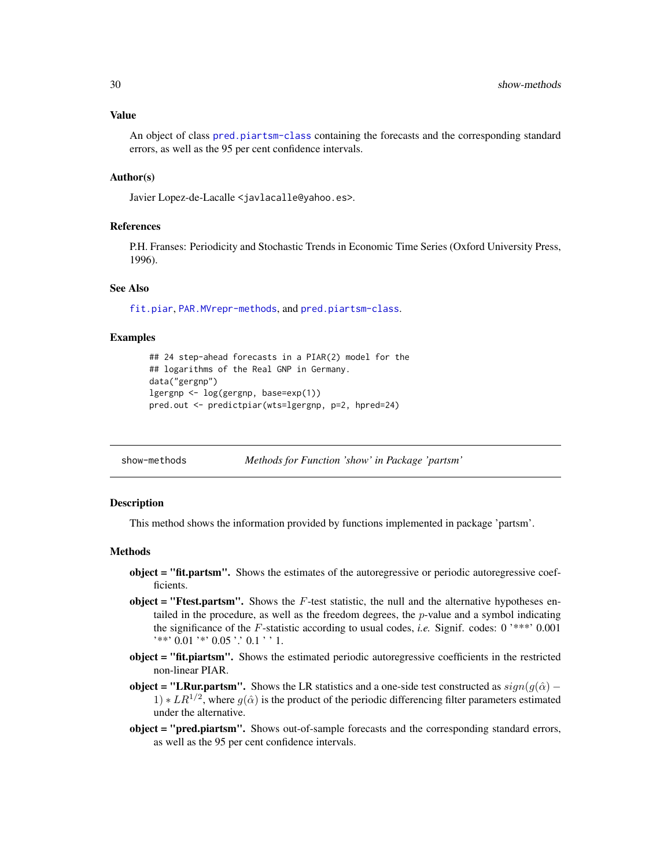#### <span id="page-29-0"></span>Value

An object of class [pred.piartsm-class](#page-27-1) containing the forecasts and the corresponding standard errors, as well as the 95 per cent confidence intervals.

## Author(s)

Javier Lopez-de-Lacalle <javlacalle@yahoo.es>.

#### References

P.H. Franses: Periodicity and Stochastic Trends in Economic Time Series (Oxford University Press, 1996).

## See Also

[fit.piar](#page-7-1), [PAR.MVrepr-methods](#page-22-1), and [pred.piartsm-class](#page-27-1).

#### Examples

```
## 24 step-ahead forecasts in a PIAR(2) model for the
## logarithms of the Real GNP in Germany.
data("gergnp")
lgergnp <- log(gergnp, base=exp(1))
pred.out <- predictpiar(wts=lgergnp, p=2, hpred=24)
```
show-methods *Methods for Function 'show' in Package 'partsm'*

#### **Description**

This method shows the information provided by functions implemented in package 'partsm'.

#### Methods

- object = "fit.partsm". Shows the estimates of the autoregressive or periodic autoregressive coefficients.
- object = "Ftest.partsm". Shows the  $F$ -test statistic, the null and the alternative hypotheses entailed in the procedure, as well as the freedom degrees, the  $p$ -value and a symbol indicating the significance of the F-statistic according to usual codes, *i.e.* Signif. codes: 0 '\*\*\*' 0.001 '\*\*' 0.01 '\*' 0.05 '.' 0.1 ' ' 1.
- object = "fit.piartsm". Shows the estimated periodic autoregressive coefficients in the restricted non-linear PIAR.
- **object = "LRur.partsm".** Shows the LR statistics and a one-side test constructed as  $sign(g(\hat{\alpha}) 1) * LR^{1/2}$ , where  $g(\hat{\alpha})$  is the product of the periodic differencing filter parameters estimated under the alternative.
- object = "pred.piartsm". Shows out-of-sample forecasts and the corresponding standard errors, as well as the 95 per cent confidence intervals.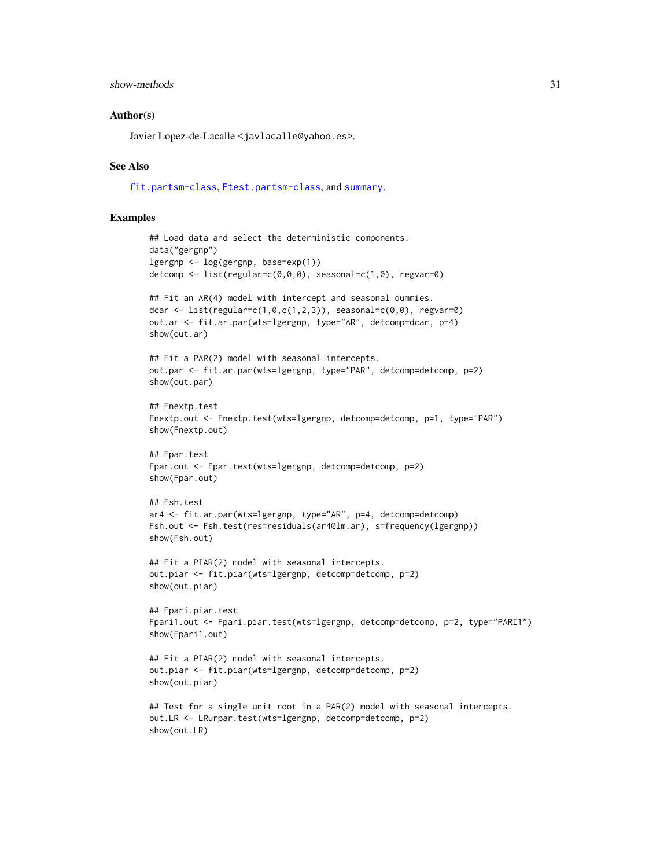#### <span id="page-30-0"></span>show-methods 31

#### Author(s)

Javier Lopez-de-Lacalle <javlacalle@yahoo.es>.

#### See Also

[fit.partsm-class](#page-6-1), [Ftest.partsm-class](#page-14-1), and [summary](#page-0-0).

## Examples

```
## Load data and select the deterministic components.
data("gergnp")
lgergnp <- log(gergnp, base=exp(1))
detcomp <- list(regular=c(0,0,0), seasonal=c(1,0), regvar=0)
## Fit an AR(4) model with intercept and seasonal dummies.
dcar \le list(regular=c(1,0,c(1,2,3)), seasonal=c(0,0), regvar=0)
out.ar <- fit.ar.par(wts=lgergnp, type="AR", detcomp=dcar, p=4)
show(out.ar)
## Fit a PAR(2) model with seasonal intercepts.
out.par <- fit.ar.par(wts=lgergnp, type="PAR", detcomp=detcomp, p=2)
show(out.par)
## Fnextp.test
Fnextp.out <- Fnextp.test(wts=lgergnp, detcomp=detcomp, p=1, type="PAR")
show(Fnextp.out)
## Fpar.test
Fpar.out <- Fpar.test(wts=lgergnp, detcomp=detcomp, p=2)
show(Fpar.out)
## Fsh.test
ar4 <- fit.ar.par(wts=lgergnp, type="AR", p=4, detcomp=detcomp)
Fsh.out <- Fsh.test(res=residuals(ar4@lm.ar), s=frequency(lgergnp))
show(Fsh.out)
## Fit a PIAR(2) model with seasonal intercepts.
out.piar <- fit.piar(wts=lgergnp, detcomp=detcomp, p=2)
show(out.piar)
## Fpari.piar.test
Fpari1.out <- Fpari.piar.test(wts=lgergnp, detcomp=detcomp, p=2, type="PARI1")
show(Fpari1.out)
## Fit a PIAR(2) model with seasonal intercepts.
out.piar <- fit.piar(wts=lgergnp, detcomp=detcomp, p=2)
show(out.piar)
## Test for a single unit root in a PAR(2) model with seasonal intercepts.
out.LR <- LRurpar.test(wts=lgergnp, detcomp=detcomp, p=2)
show(out.LR)
```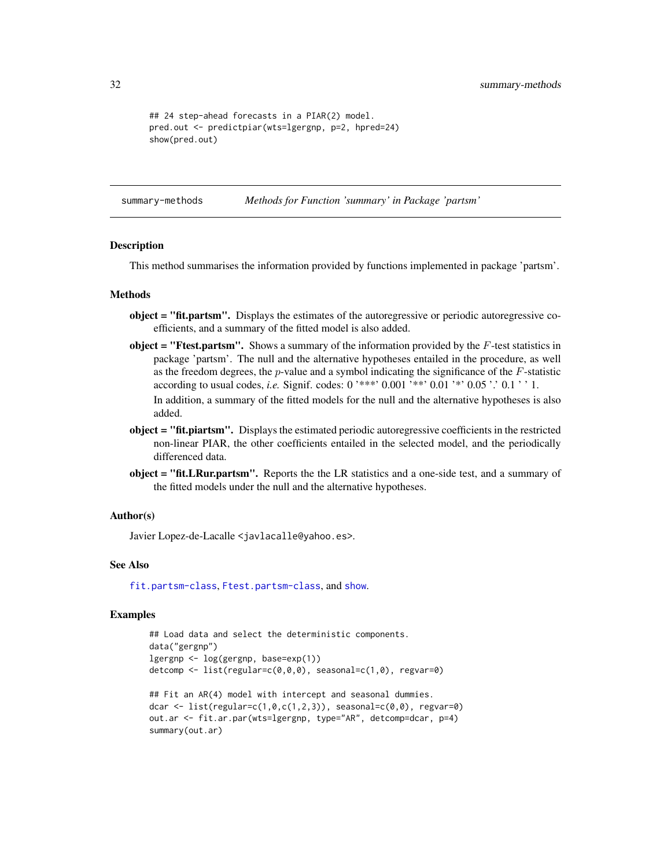```
## 24 step-ahead forecasts in a PIAR(2) model.
pred.out <- predictpiar(wts=lgergnp, p=2, hpred=24)
show(pred.out)
```
summary-methods *Methods for Function 'summary' in Package 'partsm'*

#### Description

This method summarises the information provided by functions implemented in package 'partsm'.

#### Methods

- object = "fit.partsm". Displays the estimates of the autoregressive or periodic autoregressive coefficients, and a summary of the fitted model is also added.
- object = "Ftest.partsm". Shows a summary of the information provided by the  $F$ -test statistics in package 'partsm'. The null and the alternative hypotheses entailed in the procedure, as well as the freedom degrees, the  $p$ -value and a symbol indicating the significance of the  $F$ -statistic according to usual codes, *i.e.* Signif. codes: 0 '\*\*\*' 0.001 '\*\*' 0.01 '\*' 0.05 '.' 0.1 ' ' 1. In addition, a summary of the fitted models for the null and the alternative hypotheses is also added.
- object = "fit.piartsm". Displays the estimated periodic autoregressive coefficients in the restricted non-linear PIAR, the other coefficients entailed in the selected model, and the periodically differenced data.
- object = "fit.LRur.partsm". Reports the the LR statistics and a one-side test, and a summary of the fitted models under the null and the alternative hypotheses.

#### Author(s)

Javier Lopez-de-Lacalle <javlacalle@yahoo.es>.

#### See Also

[fit.partsm-class](#page-6-1), [Ftest.partsm-class](#page-14-1), and [show](#page-0-0).

#### Examples

```
## Load data and select the deterministic components.
data("gergnp")
lgergnp <- log(gergnp, base=exp(1))
detcomp <- list(regular=c(0,0,0), seasonal=c(1,0), regvar=0)
## Fit an AR(4) model with intercept and seasonal dummies.
dcar \le list(regular=c(1,0,c(1,2,3)), seasonal=c(0,0), regvar=0)
out.ar <- fit.ar.par(wts=lgergnp, type="AR", detcomp=dcar, p=4)
summary(out.ar)
```
<span id="page-31-0"></span>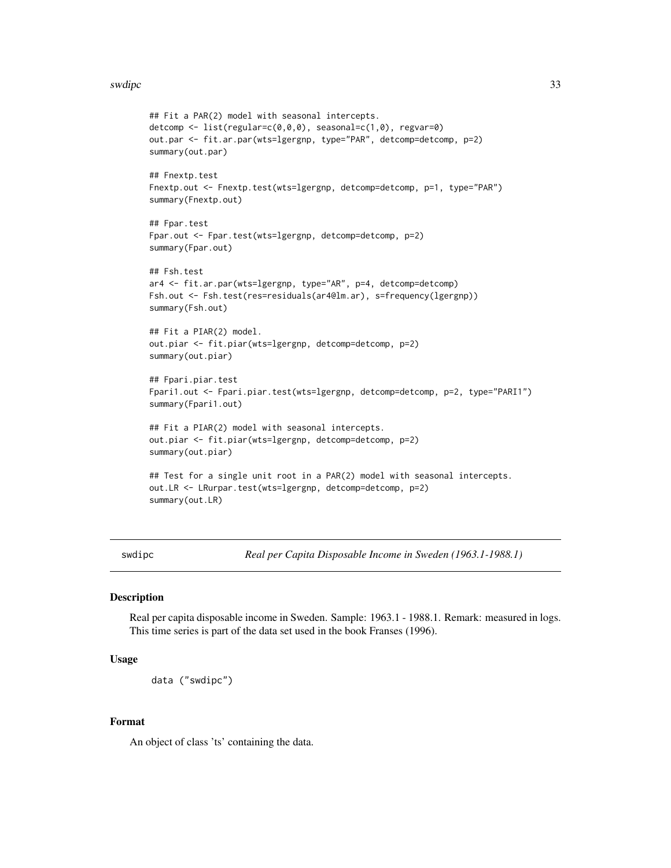#### <span id="page-32-0"></span>swdipc 33

```
detcomp <- list(regular=c(0,0,0), seasonal=c(1,0), regvar=0)
out.par <- fit.ar.par(wts=lgergnp, type="PAR", detcomp=detcomp, p=2)
summary(out.par)
## Fnextp.test
Fnextp.out <- Fnextp.test(wts=lgergnp, detcomp=detcomp, p=1, type="PAR")
summary(Fnextp.out)
## Fpar.test
Fpar.out <- Fpar.test(wts=lgergnp, detcomp=detcomp, p=2)
summary(Fpar.out)
## Fsh.test
ar4 <- fit.ar.par(wts=lgergnp, type="AR", p=4, detcomp=detcomp)
Fsh.out <- Fsh.test(res=residuals(ar4@lm.ar), s=frequency(lgergnp))
summary(Fsh.out)
## Fit a PIAR(2) model.
out.piar <- fit.piar(wts=lgergnp, detcomp=detcomp, p=2)
summary(out.piar)
## Fpari.piar.test
Fpari1.out <- Fpari.piar.test(wts=lgergnp, detcomp=detcomp, p=2, type="PARI1")
summary(Fpari1.out)
## Fit a PIAR(2) model with seasonal intercepts.
out.piar <- fit.piar(wts=lgergnp, detcomp=detcomp, p=2)
summary(out.piar)
## Test for a single unit root in a PAR(2) model with seasonal intercepts.
out.LR <- LRurpar.test(wts=lgergnp, detcomp=detcomp, p=2)
summary(out.LR)
```
## Fit a PAR(2) model with seasonal intercepts.

swdipc *Real per Capita Disposable Income in Sweden (1963.1-1988.1)*

#### Description

Real per capita disposable income in Sweden. Sample: 1963.1 - 1988.1. Remark: measured in logs. This time series is part of the data set used in the book Franses (1996).

#### Usage

```
data ("swdipc")
```
## Format

An object of class 'ts' containing the data.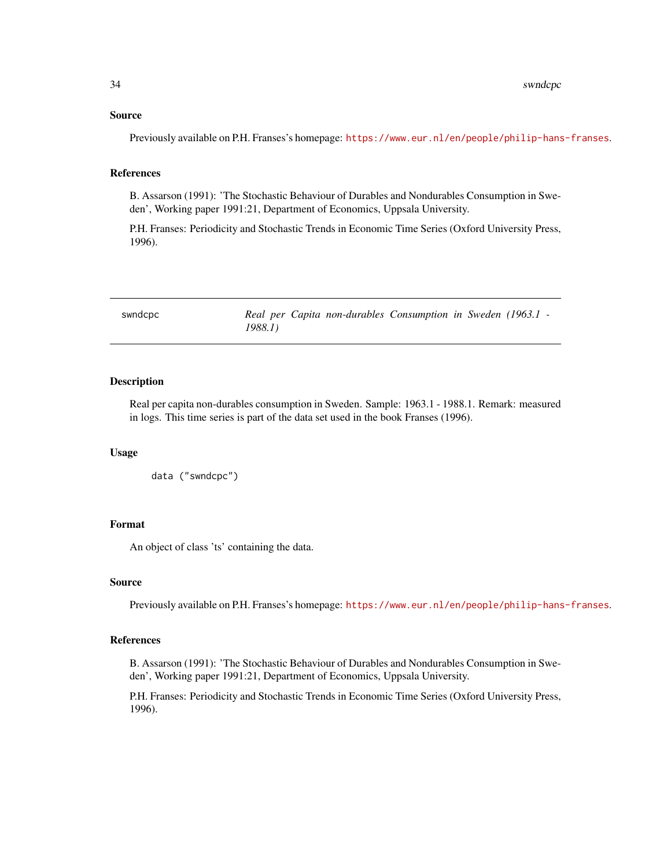#### <span id="page-33-0"></span>Source

Previously available on P.H. Franses's homepage: <https://www.eur.nl/en/people/philip-hans-franses>.

#### References

B. Assarson (1991): 'The Stochastic Behaviour of Durables and Nondurables Consumption in Sweden', Working paper 1991:21, Department of Economics, Uppsala University.

P.H. Franses: Periodicity and Stochastic Trends in Economic Time Series (Oxford University Press, 1996).

swndcpc *Real per Capita non-durables Consumption in Sweden (1963.1 - 1988.1)*

## Description

Real per capita non-durables consumption in Sweden. Sample: 1963.1 - 1988.1. Remark: measured in logs. This time series is part of the data set used in the book Franses (1996).

#### Usage

data ("swndcpc")

## Format

An object of class 'ts' containing the data.

#### Source

Previously available on P.H. Franses's homepage: <https://www.eur.nl/en/people/philip-hans-franses>.

## References

B. Assarson (1991): 'The Stochastic Behaviour of Durables and Nondurables Consumption in Sweden', Working paper 1991:21, Department of Economics, Uppsala University.

P.H. Franses: Periodicity and Stochastic Trends in Economic Time Series (Oxford University Press, 1996).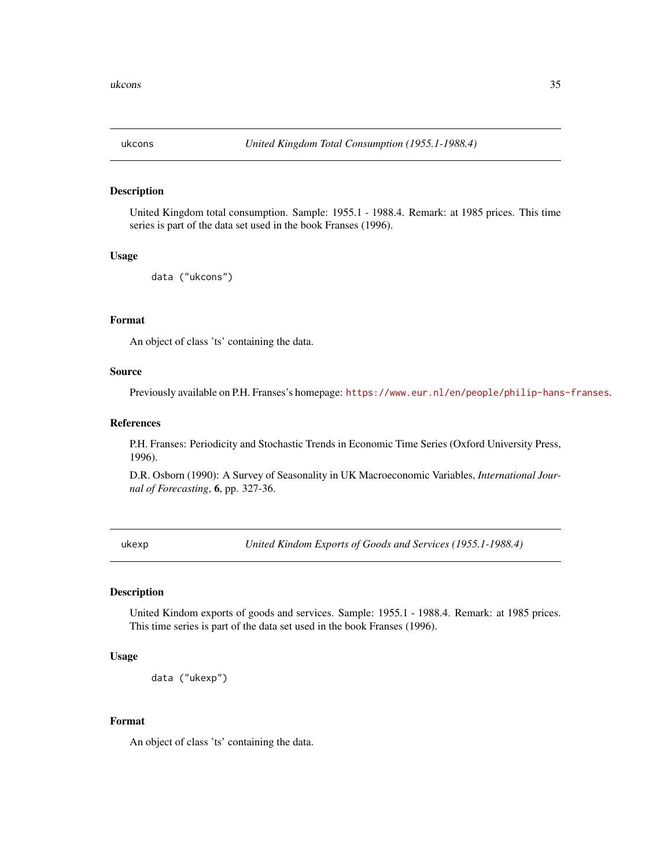<span id="page-34-0"></span>

United Kingdom total consumption. Sample: 1955.1 - 1988.4. Remark: at 1985 prices. This time series is part of the data set used in the book Franses (1996).

#### Usage

```
data ("ukcons")
```
## Format

An object of class 'ts' containing the data.

## Source

Previously available on P.H. Franses's homepage: <https://www.eur.nl/en/people/philip-hans-franses>.

## References

P.H. Franses: Periodicity and Stochastic Trends in Economic Time Series (Oxford University Press, 1996).

D.R. Osborn (1990): A Survey of Seasonality in UK Macroeconomic Variables, *International Journal of Forecasting*, 6, pp. 327-36.

ukexp *United Kindom Exports of Goods and Services (1955.1-1988.4)*

## Description

United Kindom exports of goods and services. Sample: 1955.1 - 1988.4. Remark: at 1985 prices. This time series is part of the data set used in the book Franses (1996).

## Usage

```
data ("ukexp")
```
## Format

An object of class 'ts' containing the data.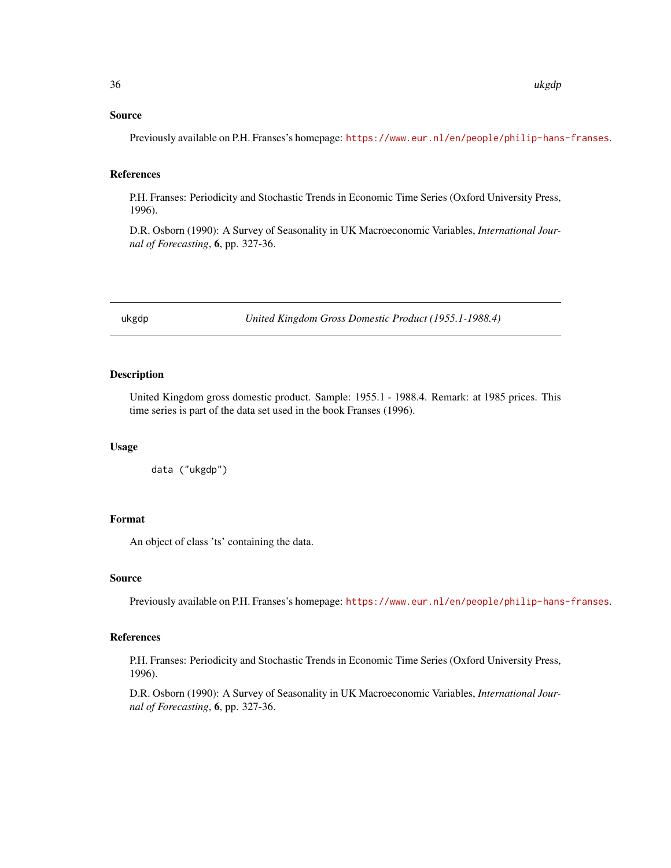## <span id="page-35-0"></span>Source

Previously available on P.H. Franses's homepage: <https://www.eur.nl/en/people/philip-hans-franses>.

## References

P.H. Franses: Periodicity and Stochastic Trends in Economic Time Series (Oxford University Press, 1996).

D.R. Osborn (1990): A Survey of Seasonality in UK Macroeconomic Variables, *International Journal of Forecasting*, 6, pp. 327-36.

ukgdp *United Kingdom Gross Domestic Product (1955.1-1988.4)*

## Description

United Kingdom gross domestic product. Sample: 1955.1 - 1988.4. Remark: at 1985 prices. This time series is part of the data set used in the book Franses (1996).

## Usage

data ("ukgdp")

# Format

An object of class 'ts' containing the data.

#### Source

Previously available on P.H. Franses's homepage: <https://www.eur.nl/en/people/philip-hans-franses>.

#### References

P.H. Franses: Periodicity and Stochastic Trends in Economic Time Series (Oxford University Press, 1996).

D.R. Osborn (1990): A Survey of Seasonality in UK Macroeconomic Variables, *International Journal of Forecasting*, 6, pp. 327-36.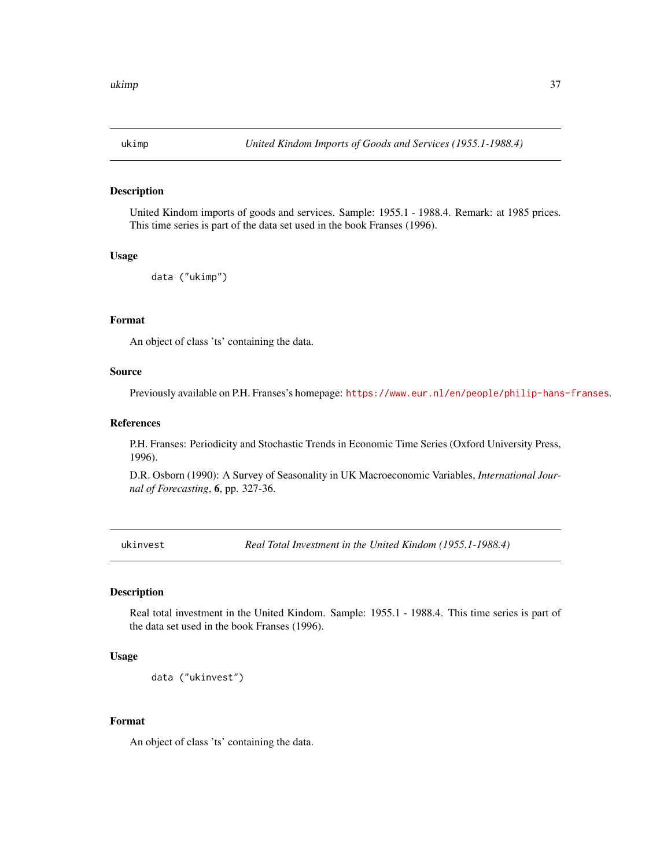<span id="page-36-0"></span>

United Kindom imports of goods and services. Sample: 1955.1 - 1988.4. Remark: at 1985 prices. This time series is part of the data set used in the book Franses (1996).

#### Usage

```
data ("ukimp")
```
## Format

An object of class 'ts' containing the data.

## Source

Previously available on P.H. Franses's homepage: <https://www.eur.nl/en/people/philip-hans-franses>.

## References

P.H. Franses: Periodicity and Stochastic Trends in Economic Time Series (Oxford University Press, 1996).

D.R. Osborn (1990): A Survey of Seasonality in UK Macroeconomic Variables, *International Journal of Forecasting*, 6, pp. 327-36.

ukinvest *Real Total Investment in the United Kindom (1955.1-1988.4)*

## Description

Real total investment in the United Kindom. Sample: 1955.1 - 1988.4. This time series is part of the data set used in the book Franses (1996).

## Usage

```
data ("ukinvest")
```
## Format

An object of class 'ts' containing the data.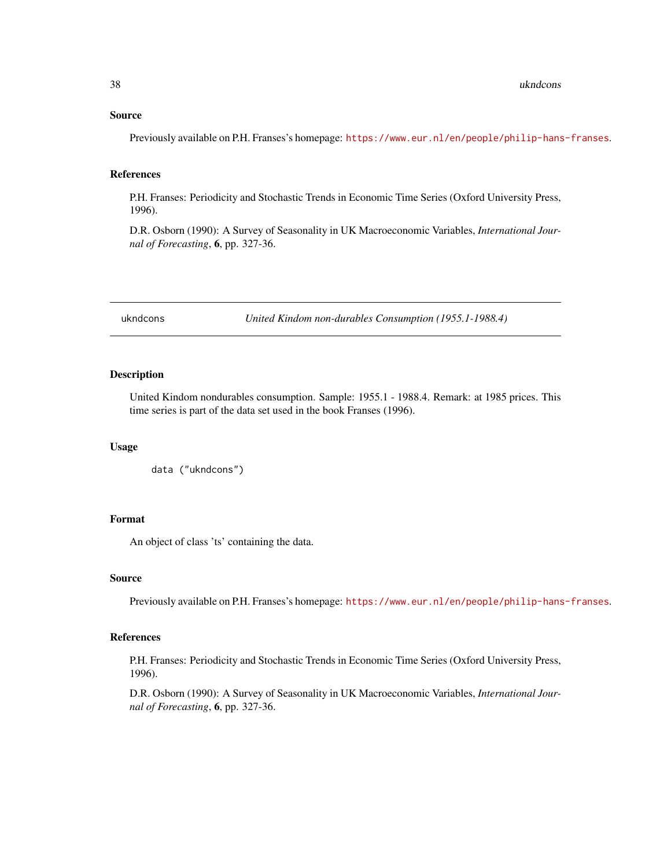## <span id="page-37-0"></span>Source

Previously available on P.H. Franses's homepage: <https://www.eur.nl/en/people/philip-hans-franses>.

## References

P.H. Franses: Periodicity and Stochastic Trends in Economic Time Series (Oxford University Press, 1996).

D.R. Osborn (1990): A Survey of Seasonality in UK Macroeconomic Variables, *International Journal of Forecasting*, 6, pp. 327-36.

ukndcons *United Kindom non-durables Consumption (1955.1-1988.4)*

## Description

United Kindom nondurables consumption. Sample: 1955.1 - 1988.4. Remark: at 1985 prices. This time series is part of the data set used in the book Franses (1996).

## Usage

```
data ("ukndcons")
```
# Format

An object of class 'ts' containing the data.

#### Source

Previously available on P.H. Franses's homepage: <https://www.eur.nl/en/people/philip-hans-franses>.

#### References

P.H. Franses: Periodicity and Stochastic Trends in Economic Time Series (Oxford University Press, 1996).

D.R. Osborn (1990): A Survey of Seasonality in UK Macroeconomic Variables, *International Journal of Forecasting*, 6, pp. 327-36.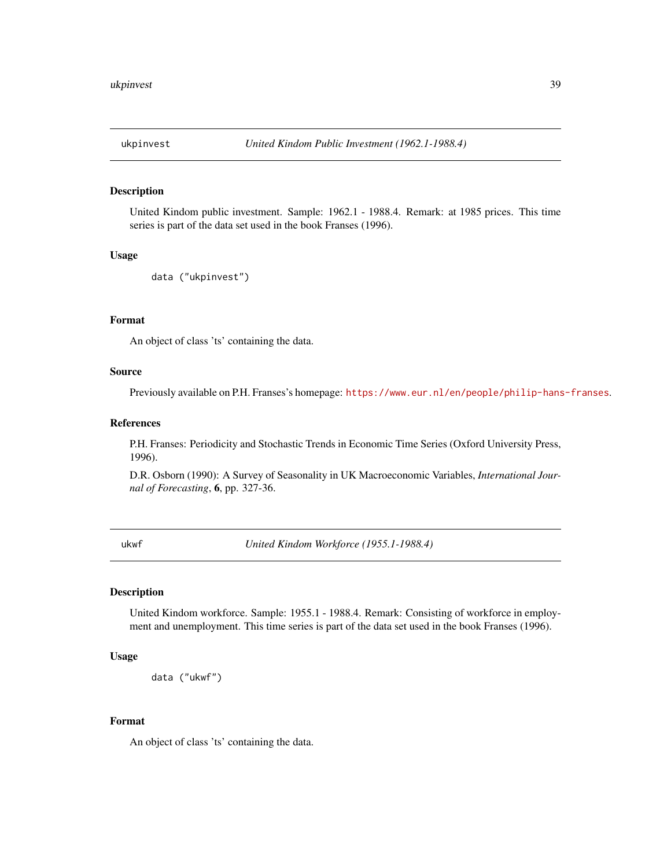<span id="page-38-0"></span>

United Kindom public investment. Sample: 1962.1 - 1988.4. Remark: at 1985 prices. This time series is part of the data set used in the book Franses (1996).

### Usage

```
data ("ukpinvest")
```
## Format

An object of class 'ts' containing the data.

#### Source

Previously available on P.H. Franses's homepage: <https://www.eur.nl/en/people/philip-hans-franses>.

## References

P.H. Franses: Periodicity and Stochastic Trends in Economic Time Series (Oxford University Press, 1996).

D.R. Osborn (1990): A Survey of Seasonality in UK Macroeconomic Variables, *International Journal of Forecasting*, 6, pp. 327-36.

ukwf *United Kindom Workforce (1955.1-1988.4)*

#### Description

United Kindom workforce. Sample: 1955.1 - 1988.4. Remark: Consisting of workforce in employment and unemployment. This time series is part of the data set used in the book Franses (1996).

## Usage

```
data ("ukwf")
```
## Format

An object of class 'ts' containing the data.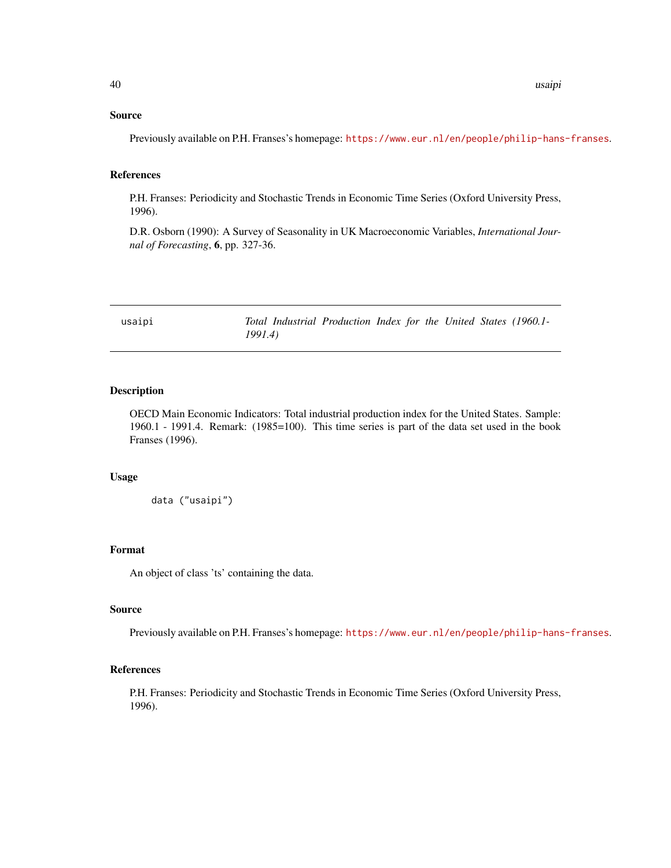## <span id="page-39-0"></span>Source

Previously available on P.H. Franses's homepage: <https://www.eur.nl/en/people/philip-hans-franses>.

## References

P.H. Franses: Periodicity and Stochastic Trends in Economic Time Series (Oxford University Press, 1996).

D.R. Osborn (1990): A Survey of Seasonality in UK Macroeconomic Variables, *International Journal of Forecasting*, 6, pp. 327-36.

usaipi *Total Industrial Production Index for the United States (1960.1- 1991.4)*

## Description

OECD Main Economic Indicators: Total industrial production index for the United States. Sample: 1960.1 - 1991.4. Remark: (1985=100). This time series is part of the data set used in the book Franses (1996).

## Usage

data ("usaipi")

#### Format

An object of class 'ts' containing the data.

## Source

Previously available on P.H. Franses's homepage: <https://www.eur.nl/en/people/philip-hans-franses>.

## References

P.H. Franses: Periodicity and Stochastic Trends in Economic Time Series (Oxford University Press, 1996).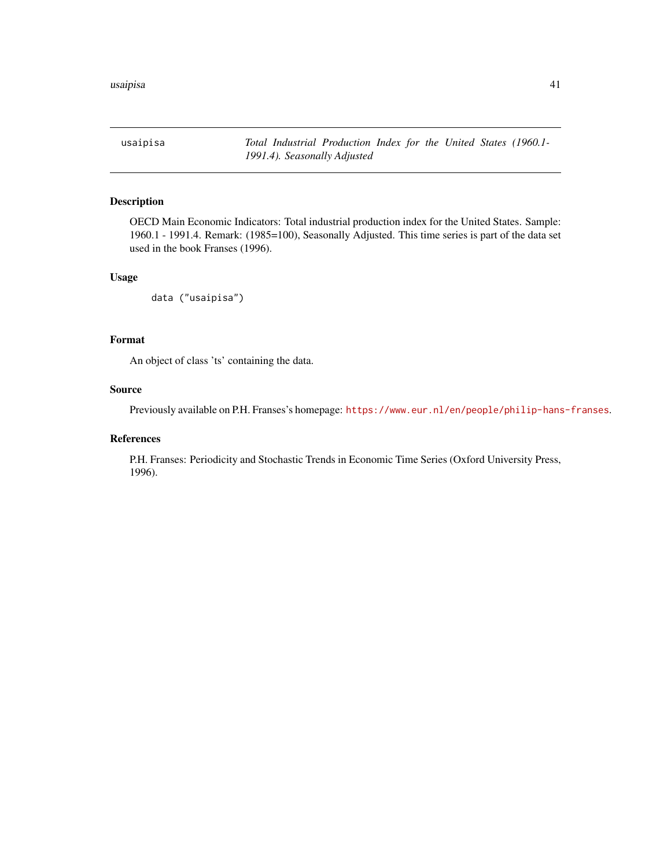<span id="page-40-0"></span>usaipisa *Total Industrial Production Index for the United States (1960.1- 1991.4). Seasonally Adjusted*

## Description

OECD Main Economic Indicators: Total industrial production index for the United States. Sample: 1960.1 - 1991.4. Remark: (1985=100), Seasonally Adjusted. This time series is part of the data set used in the book Franses (1996).

## Usage

```
data ("usaipisa")
```
## Format

An object of class 'ts' containing the data.

#### Source

Previously available on P.H. Franses's homepage: <https://www.eur.nl/en/people/philip-hans-franses>.

#### References

P.H. Franses: Periodicity and Stochastic Trends in Economic Time Series (Oxford University Press, 1996).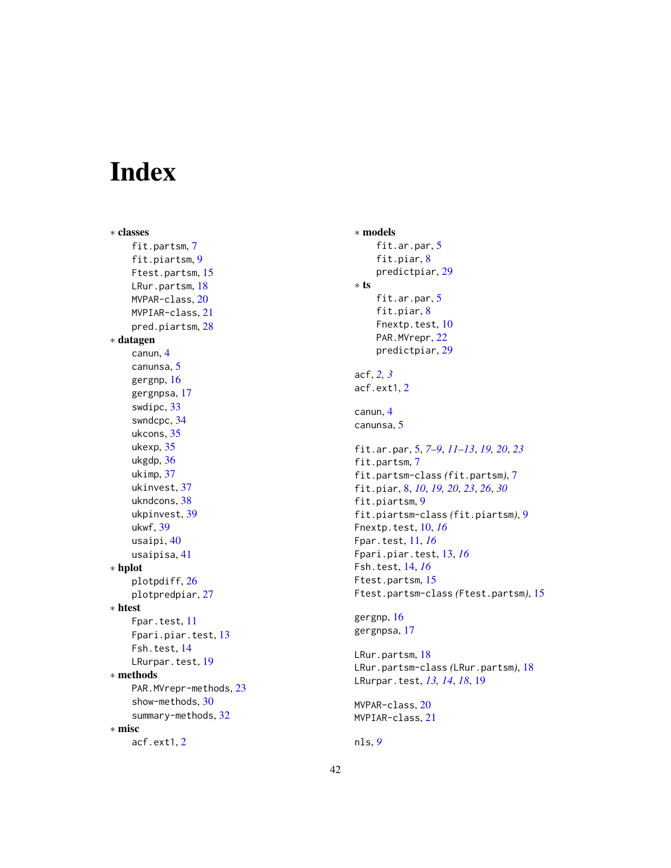# <span id="page-41-0"></span>Index

∗ classes fit.partsm, [7](#page-6-0) fit.piartsm, [9](#page-8-0) Ftest.partsm, [15](#page-14-0) LRur.partsm, [18](#page-17-0) MVPAR-class, [20](#page-19-0) MVPIAR-class, [21](#page-20-0) pred.piartsm, [28](#page-27-0) ∗ datagen canun, [4](#page-3-0) canunsa, [5](#page-4-0) gergnp, [16](#page-15-0) gergnpsa, [17](#page-16-0) swdipc, [33](#page-32-0) swndcpc, [34](#page-33-0) ukcons, [35](#page-34-0) ukexp, [35](#page-34-0) ukgdp, [36](#page-35-0) ukimp, [37](#page-36-0) ukinvest, [37](#page-36-0) ukndcons, [38](#page-37-0) ukpinvest, [39](#page-38-0) ukwf, [39](#page-38-0) usaipi, [40](#page-39-0) usaipisa, [41](#page-40-0) ∗ hplot plotpdiff, [26](#page-25-0) plotpredpiar, [27](#page-26-0) ∗ htest Fpar.test, [11](#page-10-0) Fpari.piar.test, [13](#page-12-0) Fsh.test, [14](#page-13-0) LRurpar.test, [19](#page-18-0) ∗ methods PAR.MVrepr-methods, [23](#page-22-0) show-methods, [30](#page-29-0) summary-methods, [32](#page-31-0) ∗ misc acf.ext1, [2](#page-1-0)

∗ models fit.ar.par, [5](#page-4-0) fit.piar, [8](#page-7-0) predictpiar, [29](#page-28-0) ∗ ts fit.ar.par, [5](#page-4-0) fit.piar, [8](#page-7-0) Fnextp.test, [10](#page-9-0) PAR.MVrepr, [22](#page-21-0) predictpiar, [29](#page-28-0) acf, *[2,](#page-1-0) [3](#page-2-0)* acf.ext1, [2](#page-1-0) canun, [4](#page-3-0) canunsa, [5](#page-4-0) fit.ar.par, [5,](#page-4-0) *[7](#page-6-0)[–9](#page-8-0)*, *[11](#page-10-0)[–13](#page-12-0)*, *[19,](#page-18-0) [20](#page-19-0)*, *[23](#page-22-0)* fit.partsm, [7](#page-6-0) fit.partsm-class *(*fit.partsm*)*, [7](#page-6-0) fit.piar, [8,](#page-7-0) *[10](#page-9-0)*, *[19,](#page-18-0) [20](#page-19-0)*, *[23](#page-22-0)*, *[26](#page-25-0)*, *[30](#page-29-0)* fit.piartsm, [9](#page-8-0) fit.piartsm-class *(*fit.piartsm*)*, [9](#page-8-0) Fnextp.test, [10,](#page-9-0) *[16](#page-15-0)* Fpar.test, [11,](#page-10-0) *[16](#page-15-0)* Fpari.piar.test, [13,](#page-12-0) *[16](#page-15-0)* Fsh.test, [14,](#page-13-0) *[16](#page-15-0)* Ftest.partsm, [15](#page-14-0) Ftest.partsm-class *(*Ftest.partsm*)*, [15](#page-14-0) gergnp, [16](#page-15-0) gergnpsa, [17](#page-16-0) LRur.partsm, [18](#page-17-0) LRur.partsm-class *(*LRur.partsm*)*, [18](#page-17-0) LRurpar.test, *[13,](#page-12-0) [14](#page-13-0)*, *[18](#page-17-0)*, [19](#page-18-0) MVPAR-class, [20](#page-19-0) MVPIAR-class, [21](#page-20-0) nls, *[9](#page-8-0)*